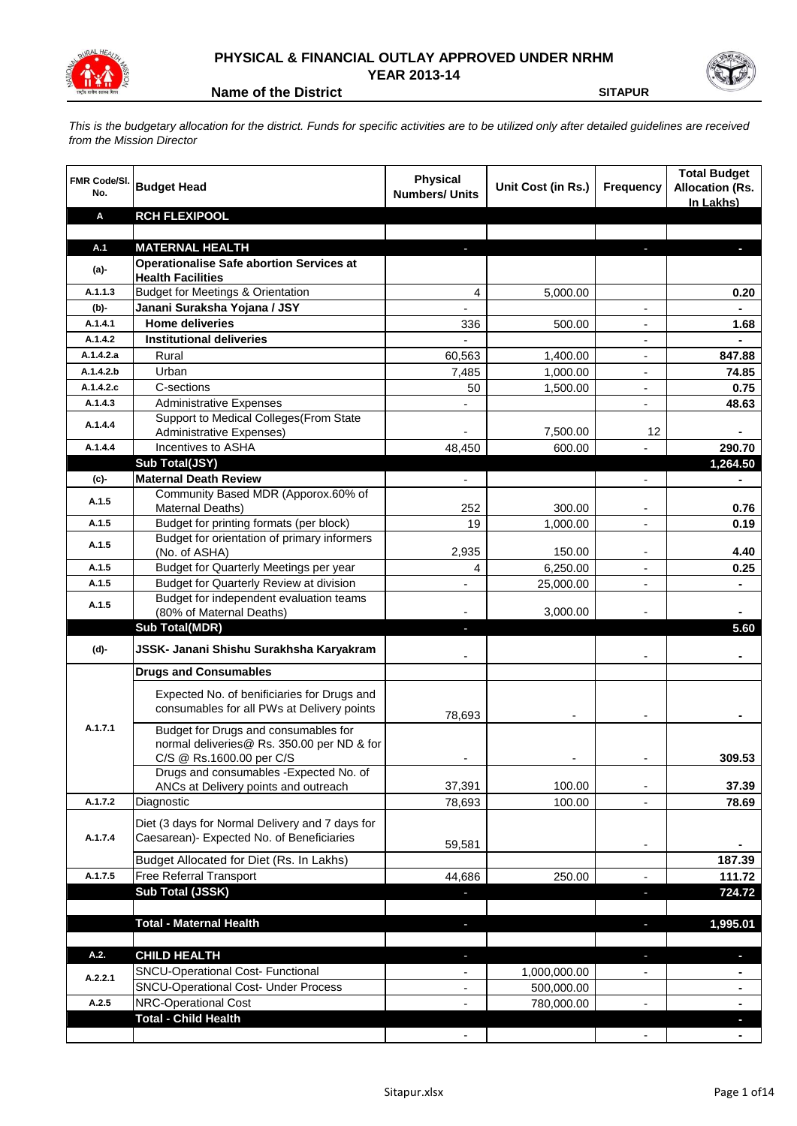

## **PHYSICAL & FINANCIAL OUTLAY APPROVED UNDER NRHM YEAR 2013-14**

**Name of the District SITAPUR** 

*This is the budgetary allocation for the district. Funds for specific activities are to be utilized only after detailed guidelines are received from the Mission Director*

| <b>FMR Code/SI.</b><br>No. | <b>Budget Head</b>                                                                           | <b>Physical</b><br><b>Numbers/ Units</b> | Unit Cost (in Rs.) | <b>Frequency</b>         | <b>Total Budget</b><br><b>Allocation (Rs.</b><br>In Lakhs) |
|----------------------------|----------------------------------------------------------------------------------------------|------------------------------------------|--------------------|--------------------------|------------------------------------------------------------|
| Α                          | <b>RCH FLEXIPOOL</b>                                                                         |                                          |                    |                          |                                                            |
|                            |                                                                                              |                                          |                    |                          |                                                            |
| A.1                        | <b>MATERNAL HEALTH</b>                                                                       |                                          |                    |                          |                                                            |
| $(a)$ -                    | <b>Operationalise Safe abortion Services at</b>                                              |                                          |                    |                          |                                                            |
| A.1.1.3                    | <b>Health Facilities</b><br><b>Budget for Meetings &amp; Orientation</b>                     | 4                                        |                    |                          | 0.20                                                       |
| $(b)$ -                    | Janani Suraksha Yojana / JSY                                                                 | $\frac{1}{2}$                            | 5,000.00           | $\blacksquare$           | $\blacksquare$                                             |
| A.1.4.1                    | <b>Home deliveries</b>                                                                       | 336                                      | 500.00             | $\overline{\phantom{a}}$ | 1.68                                                       |
| A.1.4.2                    | <b>Institutional deliveries</b>                                                              |                                          |                    | $\overline{\phantom{a}}$ | $\blacksquare$                                             |
| A.1.4.2.a                  | Rural                                                                                        | 60,563                                   | 1,400.00           | $\overline{\phantom{a}}$ | 847.88                                                     |
| A.1.4.2.b                  | Urban                                                                                        | 7,485                                    | 1,000.00           | $\overline{\phantom{a}}$ | 74.85                                                      |
| A.1.4.2.c                  | C-sections                                                                                   | 50                                       | 1,500.00           | $\blacksquare$           | 0.75                                                       |
| A.1.4.3                    | <b>Administrative Expenses</b>                                                               |                                          |                    | $\overline{a}$           | 48.63                                                      |
|                            | Support to Medical Colleges(From State                                                       |                                          |                    |                          |                                                            |
| A.1.4.4                    | Administrative Expenses)                                                                     |                                          | 7,500.00           | 12                       |                                                            |
| A.1.4.4                    | Incentives to ASHA                                                                           | 48,450                                   | 600.00             |                          | 290.70                                                     |
|                            | Sub Total(JSY)                                                                               |                                          |                    |                          | 1,264.50                                                   |
| (c)                        | <b>Maternal Death Review</b>                                                                 |                                          |                    |                          |                                                            |
| A.1.5                      | Community Based MDR (Apporox.60% of                                                          |                                          |                    |                          |                                                            |
|                            | <b>Maternal Deaths)</b>                                                                      | 252                                      | 300.00             | $\overline{\phantom{a}}$ | 0.76                                                       |
| A.1.5                      | Budget for printing formats (per block)                                                      | 19                                       | 1,000.00           | $\overline{\phantom{a}}$ | 0.19                                                       |
| A.1.5                      | Budget for orientation of primary informers                                                  |                                          |                    |                          |                                                            |
| A.1.5                      | (No. of ASHA)                                                                                | 2,935<br>4                               | 150.00             |                          | 4.40                                                       |
| A.1.5                      | Budget for Quarterly Meetings per year                                                       |                                          | 6,250.00           | $\overline{a}$           | 0.25                                                       |
|                            | Budget for Quarterly Review at division<br>Budget for independent evaluation teams           |                                          | 25,000.00          | $\blacksquare$           |                                                            |
| A.1.5                      | (80% of Maternal Deaths)                                                                     |                                          | 3,000.00           |                          |                                                            |
|                            | <b>Sub Total(MDR)</b>                                                                        | J,                                       |                    |                          | 5.60                                                       |
| (d)-                       | JSSK- Janani Shishu Surakhsha Karyakram                                                      |                                          |                    |                          |                                                            |
|                            | <b>Drugs and Consumables</b>                                                                 |                                          |                    |                          |                                                            |
|                            | Expected No. of benificiaries for Drugs and<br>consumables for all PWs at Delivery points    | 78,693                                   |                    |                          |                                                            |
| A.1.7.1                    | Budget for Drugs and consumables for<br>normal deliveries@ Rs. 350.00 per ND & for           |                                          |                    |                          |                                                            |
|                            | C/S @ Rs.1600.00 per C/S<br>Drugs and consumables - Expected No. of                          |                                          |                    |                          | 309.53                                                     |
|                            | ANCs at Delivery points and outreach                                                         | 37,391                                   | 100.00             |                          | 37.39                                                      |
| A.1.7.2                    | Diagnostic                                                                                   | 78,693                                   | 100.00             |                          | 78.69                                                      |
| A.1.7.4                    | Diet (3 days for Normal Delivery and 7 days for<br>Caesarean)- Expected No. of Beneficiaries | 59,581                                   |                    | $\overline{\phantom{a}}$ |                                                            |
|                            | Budget Allocated for Diet (Rs. In Lakhs)                                                     |                                          |                    |                          | 187.39                                                     |
| A.1.7.5                    | Free Referral Transport                                                                      | 44,686                                   | 250.00             | $\blacksquare$           | 111.72                                                     |
|                            | <b>Sub Total (JSSK)</b>                                                                      | ÷                                        |                    | o,                       | 724.72                                                     |
|                            |                                                                                              |                                          |                    |                          |                                                            |
|                            | <b>Total - Maternal Health</b>                                                               | ٠                                        |                    | f,                       | 1,995.01                                                   |
| A.2.                       | <b>CHILD HEALTH</b>                                                                          | ٠                                        |                    | r.                       | ٠                                                          |
| A.2.2.1                    | SNCU-Operational Cost- Functional                                                            | $\qquad \qquad \blacksquare$             | 1,000,000.00       |                          |                                                            |
|                            | <b>SNCU-Operational Cost- Under Process</b>                                                  | $\qquad \qquad \blacksquare$             | 500,000.00         |                          | ٠                                                          |
| A.2.5                      | <b>NRC-Operational Cost</b>                                                                  | ÷,                                       | 780,000.00         |                          | $\blacksquare$                                             |
|                            | <b>Total - Child Health</b>                                                                  |                                          |                    |                          |                                                            |
|                            |                                                                                              | $\qquad \qquad \blacksquare$             |                    |                          | ٠                                                          |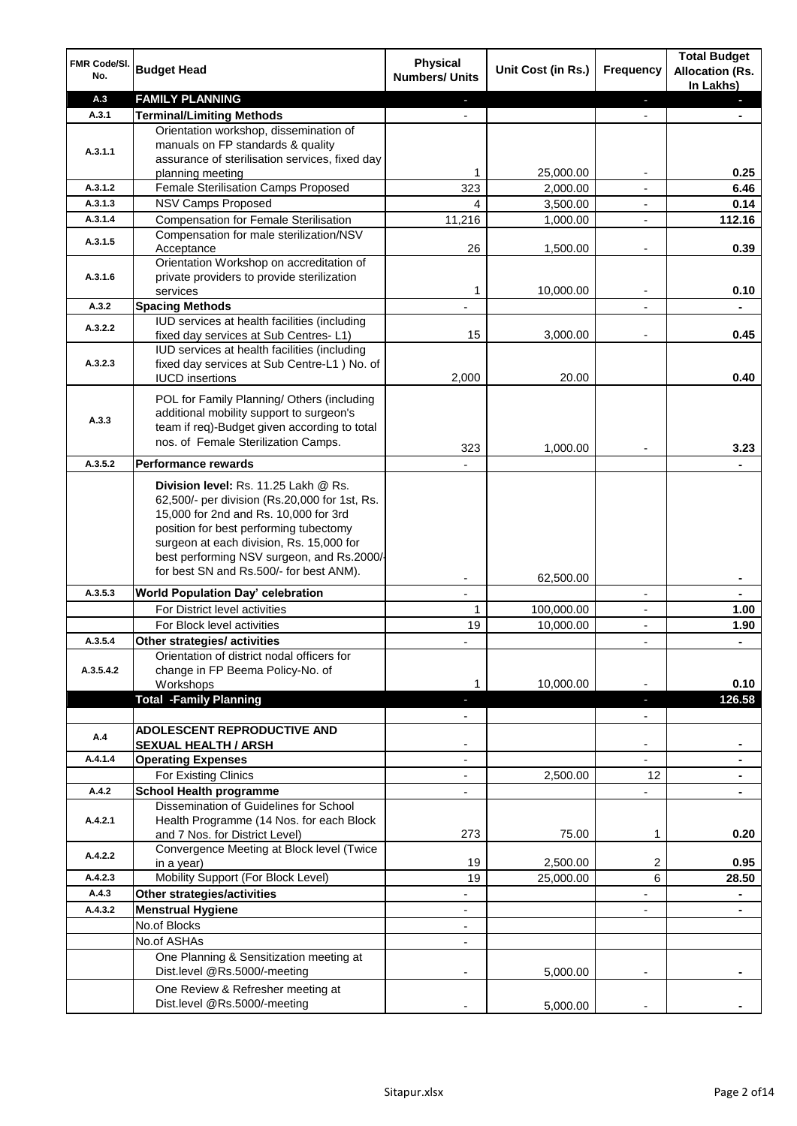| FMR Code/SI.<br>No. | <b>Budget Head</b>                                     | <b>Physical</b><br><b>Numbers/ Units</b> | Unit Cost (in Rs.) | <b>Frequency</b>         | <b>Total Budget</b><br><b>Allocation (Rs.</b><br>In Lakhs) |
|---------------------|--------------------------------------------------------|------------------------------------------|--------------------|--------------------------|------------------------------------------------------------|
| A.3                 | <b>FAMILY PLANNING</b>                                 | ٠                                        |                    | ٠                        | п                                                          |
| A.3.1               | <b>Terminal/Limiting Methods</b>                       |                                          |                    |                          |                                                            |
|                     | Orientation workshop, dissemination of                 |                                          |                    |                          |                                                            |
| A.3.1.1             | manuals on FP standards & quality                      |                                          |                    |                          |                                                            |
|                     | assurance of sterilisation services, fixed day         |                                          |                    |                          |                                                            |
|                     | planning meeting                                       | 1                                        | 25,000.00          | ٠                        | 0.25                                                       |
| A.3.1.2             | Female Sterilisation Camps Proposed                    | 323                                      | 2,000.00           | $\frac{1}{2}$            | 6.46                                                       |
| A.3.1.3             | <b>NSV Camps Proposed</b>                              | 4                                        | 3,500.00           | $\overline{\phantom{a}}$ | 0.14                                                       |
| A.3.1.4             | <b>Compensation for Female Sterilisation</b>           | 11,216                                   | 1,000.00           | $\frac{1}{2}$            | 112.16                                                     |
| A.3.1.5             | Compensation for male sterilization/NSV                |                                          |                    |                          |                                                            |
|                     | Acceptance                                             | 26                                       | 1,500.00           | $\overline{\phantom{a}}$ | 0.39                                                       |
| A.3.1.6             | Orientation Workshop on accreditation of               |                                          |                    |                          |                                                            |
|                     | private providers to provide sterilization<br>services | 1                                        | 10,000.00          | ۰                        | 0.10                                                       |
| A.3.2               | <b>Spacing Methods</b>                                 |                                          |                    |                          |                                                            |
|                     | IUD services at health facilities (including           |                                          |                    |                          |                                                            |
| A.3.2.2             | fixed day services at Sub Centres-L1)                  | 15                                       | 3,000.00           |                          | 0.45                                                       |
|                     | IUD services at health facilities (including           |                                          |                    |                          |                                                            |
| A.3.2.3             | fixed day services at Sub Centre-L1 ) No. of           |                                          |                    |                          |                                                            |
|                     | <b>IUCD</b> insertions                                 | 2,000                                    | 20.00              |                          | 0.40                                                       |
|                     | POL for Family Planning/ Others (including             |                                          |                    |                          |                                                            |
|                     | additional mobility support to surgeon's               |                                          |                    |                          |                                                            |
| A.3.3               | team if req)-Budget given according to total           |                                          |                    |                          |                                                            |
|                     | nos. of Female Sterilization Camps.                    | 323                                      |                    |                          | 3.23                                                       |
| A.3.5.2             | <b>Performance rewards</b>                             |                                          | 1,000.00           |                          |                                                            |
|                     | Division level: Rs. 11.25 Lakh @ Rs.                   |                                          |                    |                          |                                                            |
|                     | 62,500/- per division (Rs.20,000 for 1st, Rs.          |                                          |                    |                          |                                                            |
|                     | 15,000 for 2nd and Rs. 10,000 for 3rd                  |                                          |                    |                          |                                                            |
|                     | position for best performing tubectomy                 |                                          |                    |                          |                                                            |
|                     | surgeon at each division, Rs. 15,000 for               |                                          |                    |                          |                                                            |
|                     | best performing NSV surgeon, and Rs.2000/-             |                                          |                    |                          |                                                            |
|                     | for best SN and Rs.500/- for best ANM).                |                                          | 62,500.00          |                          |                                                            |
| A.3.5.3             | <b>World Population Day' celebration</b>               |                                          |                    |                          |                                                            |
|                     | For District level activities                          | 1                                        | 100,000.00         | $\overline{\phantom{a}}$ | 1.00                                                       |
|                     | For Block level activities                             | 19                                       | 10,000.00          | ÷                        | 1.90                                                       |
| A.3.5.4             | Other strategies/ activities                           |                                          |                    | ÷                        |                                                            |
|                     | Orientation of district nodal officers for             |                                          |                    |                          |                                                            |
| A.3.5.4.2           | change in FP Beema Policy-No. of                       |                                          |                    |                          |                                                            |
|                     | Workshops                                              |                                          | 10,000.00          |                          | 0.10                                                       |
|                     | <b>Total -Family Planning</b>                          |                                          |                    | ٠                        | 126.58                                                     |
|                     |                                                        |                                          |                    |                          |                                                            |
| A.4                 | <b>ADOLESCENT REPRODUCTIVE AND</b>                     |                                          |                    |                          |                                                            |
|                     | <b>SEXUAL HEALTH / ARSH</b>                            |                                          |                    |                          |                                                            |
| A.4.1.4             | <b>Operating Expenses</b>                              | L,                                       |                    |                          |                                                            |
|                     | For Existing Clinics                                   |                                          | 2,500.00           | 12                       |                                                            |
| A.4.2               | <b>School Health programme</b>                         | $\overline{\phantom{0}}$                 |                    | ÷.                       |                                                            |
|                     | Dissemination of Guidelines for School                 |                                          |                    |                          |                                                            |
| A.4.2.1             | Health Programme (14 Nos. for each Block               |                                          |                    |                          |                                                            |
|                     | and 7 Nos. for District Level)                         | 273                                      | 75.00              | 1                        | 0.20                                                       |
| A.4.2.2             | Convergence Meeting at Block level (Twice              | 19                                       | 2,500.00           | 2                        | 0.95                                                       |
| A.4.2.3             | in a year)<br>Mobility Support (For Block Level)       | 19                                       | 25,000.00          | 6                        | 28.50                                                      |
| A.4.3               | Other strategies/activities                            | ÷,                                       |                    | ÷,                       | $\blacksquare$                                             |
| A.4.3.2             | <b>Menstrual Hygiene</b>                               | $\overline{\phantom{a}}$                 |                    | $\blacksquare$           | $\blacksquare$                                             |
|                     | No.of Blocks                                           | $\blacksquare$                           |                    |                          |                                                            |
|                     | No.of ASHAs                                            | $\overline{\phantom{0}}$                 |                    |                          |                                                            |
|                     | One Planning & Sensitization meeting at                |                                          |                    |                          |                                                            |
|                     | Dist.level @Rs.5000/-meeting                           |                                          | 5,000.00           |                          |                                                            |
|                     | One Review & Refresher meeting at                      |                                          |                    |                          |                                                            |
|                     | Dist.level @Rs.5000/-meeting                           |                                          |                    |                          |                                                            |
|                     |                                                        |                                          | 5,000.00           |                          |                                                            |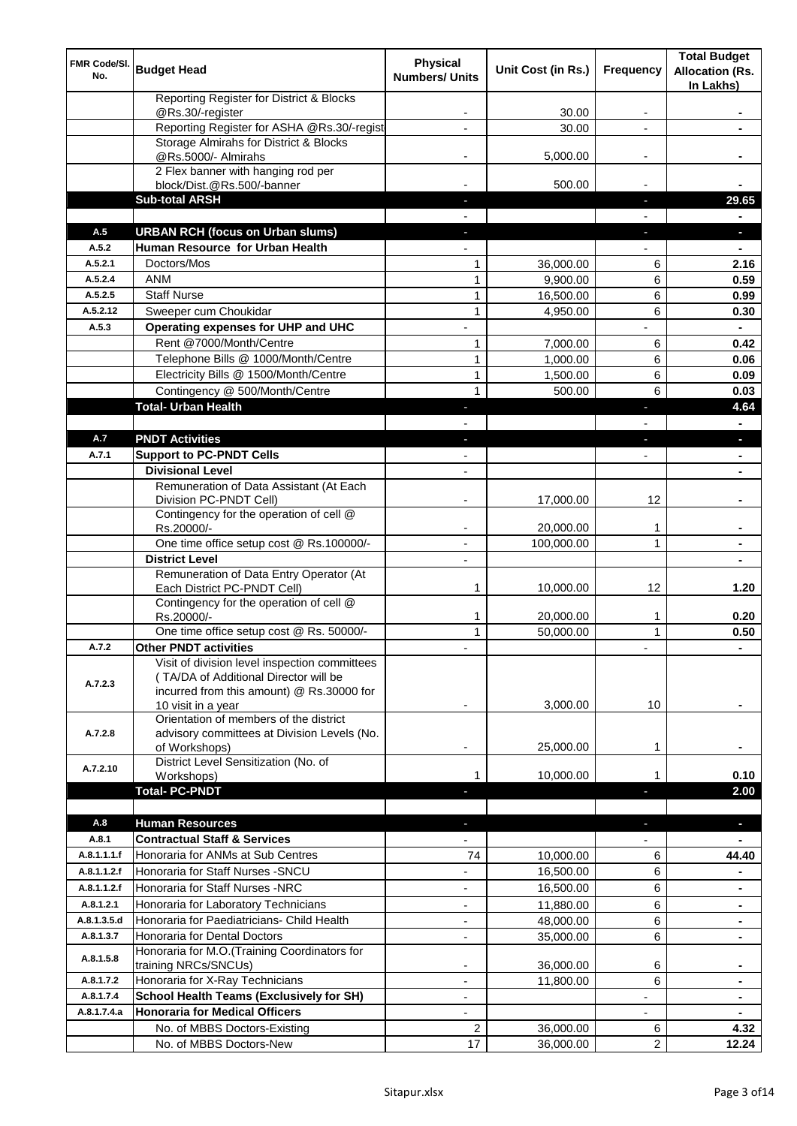| FMR Code/SI.<br>No. | <b>Budget Head</b>                                                   | <b>Physical</b><br><b>Numbers/ Units</b> | Unit Cost (in Rs.)     | <b>Frequency</b>         | <b>Total Budget</b><br><b>Allocation (Rs.</b><br>In Lakhs) |
|---------------------|----------------------------------------------------------------------|------------------------------------------|------------------------|--------------------------|------------------------------------------------------------|
|                     | Reporting Register for District & Blocks<br>@Rs.30/-register         |                                          | 30.00                  |                          |                                                            |
|                     | Reporting Register for ASHA @Rs.30/-regist                           |                                          | 30.00                  |                          |                                                            |
|                     | Storage Almirahs for District & Blocks                               |                                          |                        |                          |                                                            |
|                     | @Rs.5000/- Almirahs                                                  | ۰                                        | 5,000.00               | $\overline{\phantom{a}}$ |                                                            |
|                     | 2 Flex banner with hanging rod per                                   |                                          |                        |                          |                                                            |
|                     | block/Dist.@Rs.500/-banner<br><b>Sub-total ARSH</b>                  |                                          | 500.00                 |                          | 29.65                                                      |
|                     |                                                                      |                                          |                        |                          |                                                            |
| A.5                 | <b>URBAN RCH (focus on Urban slums)</b>                              |                                          |                        |                          | ы                                                          |
| A.5.2               | Human Resource for Urban Health                                      |                                          |                        |                          |                                                            |
| A.5.2.1             | Doctors/Mos                                                          | 1                                        | 36,000.00              | 6                        | 2.16                                                       |
| A.5.2.4             | <b>ANM</b>                                                           | 1                                        | 9,900.00               | 6                        | 0.59                                                       |
| A.5.2.5             | <b>Staff Nurse</b>                                                   | 1                                        | 16,500.00              | 6                        | 0.99                                                       |
| A.5.2.12            | Sweeper cum Choukidar                                                | 1                                        | 4,950.00               | 6                        | 0.30                                                       |
| A.5.3               | Operating expenses for UHP and UHC                                   |                                          |                        |                          |                                                            |
|                     | Rent @7000/Month/Centre                                              | $\mathbf{1}$                             | 7,000.00               | 6                        | 0.42                                                       |
|                     | Telephone Bills @ 1000/Month/Centre                                  | 1                                        | 1,000.00               | 6                        | 0.06                                                       |
|                     | Electricity Bills @ 1500/Month/Centre                                | 1                                        | 1,500.00               | 6                        | 0.09                                                       |
|                     | Contingency @ 500/Month/Centre                                       | 1                                        | 500.00                 | 6                        | 0.03                                                       |
|                     | <b>Total- Urban Health</b>                                           |                                          |                        |                          | 4.64                                                       |
|                     |                                                                      |                                          |                        |                          |                                                            |
| A.7<br>A.7.1        | <b>PNDT Activities</b>                                               |                                          |                        |                          |                                                            |
|                     | <b>Support to PC-PNDT Cells</b><br><b>Divisional Level</b>           |                                          |                        |                          |                                                            |
|                     | Remuneration of Data Assistant (At Each                              |                                          |                        |                          |                                                            |
|                     | Division PC-PNDT Cell)                                               |                                          | 17,000.00              | 12                       |                                                            |
|                     | Contingency for the operation of cell @<br>Rs.20000/-                |                                          | 20,000.00              |                          |                                                            |
|                     | One time office setup cost @ Rs.100000/-                             |                                          | 100,000.00             | $\mathbf{1}$             |                                                            |
|                     | <b>District Level</b>                                                |                                          |                        |                          |                                                            |
|                     | Remuneration of Data Entry Operator (At                              |                                          |                        |                          |                                                            |
|                     | Each District PC-PNDT Cell)                                          | 1                                        | 10,000.00              | 12                       | 1.20                                                       |
|                     | Contingency for the operation of cell @                              |                                          |                        |                          |                                                            |
|                     | Rs.20000/-<br>One time office setup cost @ Rs. 50000/-               | 1<br>1                                   | 20,000.00<br>50,000.00 | 1<br>1                   | 0.20<br>0.50                                               |
| A.7.2               | <b>Other PNDT activities</b>                                         |                                          |                        |                          |                                                            |
|                     | Visit of division level inspection committees                        |                                          |                        |                          |                                                            |
|                     | (TA/DA of Additional Director will be                                |                                          |                        |                          |                                                            |
| A.7.2.3             | incurred from this amount) @ Rs.30000 for                            |                                          |                        |                          |                                                            |
|                     | 10 visit in a year                                                   |                                          | 3,000.00               | 10                       |                                                            |
| A.7.2.8             | Orientation of members of the district                               |                                          |                        |                          |                                                            |
|                     | advisory committees at Division Levels (No.<br>of Workshops)         |                                          | 25,000.00              | 1                        |                                                            |
|                     | District Level Sensitization (No. of                                 |                                          |                        |                          |                                                            |
| A.7.2.10            | Workshops)                                                           | 1                                        | 10,000.00              | 1                        | 0.10                                                       |
|                     | <b>Total-PC-PNDT</b>                                                 |                                          |                        | ٠                        | 2.00                                                       |
|                     |                                                                      |                                          |                        |                          |                                                            |
| A.8                 | <b>Human Resources</b>                                               | ٠                                        |                        | ٠                        | ь                                                          |
| A.8.1               | <b>Contractual Staff &amp; Services</b>                              |                                          |                        |                          |                                                            |
| A.8.1.1.1.f         | Honoraria for ANMs at Sub Centres                                    | 74                                       | 10,000.00              | 6                        | 44.40                                                      |
| A.8.1.1.2.f         | Honoraria for Staff Nurses - SNCU                                    |                                          | 16,500.00              | 6                        |                                                            |
| A.8.1.1.2.f         | Honoraria for Staff Nurses -NRC                                      | ÷,                                       | 16,500.00              | 6                        |                                                            |
| A.8.1.2.1           | Honoraria for Laboratory Technicians                                 |                                          | 11,880.00              | 6                        |                                                            |
| A.8.1.3.5.d         | Honoraria for Paediatricians- Child Health                           |                                          | 48,000.00              | 6                        |                                                            |
| A.8.1.3.7           | Honoraria for Dental Doctors                                         |                                          | 35,000.00              | 6                        |                                                            |
| A.8.1.5.8           | Honoraria for M.O.(Training Coordinators for<br>training NRCs/SNCUs) |                                          | 36,000.00              | 6                        |                                                            |
| A.8.1.7.2           | Honoraria for X-Ray Technicians                                      |                                          | 11,800.00              | 6                        |                                                            |
| A.8.1.7.4           | <b>School Health Teams (Exclusively for SH)</b>                      | $\overline{\phantom{0}}$                 |                        |                          | $\blacksquare$                                             |
| A.8.1.7.4.a         | <b>Honoraria for Medical Officers</b>                                | $\overline{\phantom{0}}$                 |                        | $\overline{\phantom{0}}$ |                                                            |
|                     | No. of MBBS Doctors-Existing                                         | 2                                        | 36,000.00              | 6                        | 4.32                                                       |
|                     | No. of MBBS Doctors-New                                              | 17                                       | 36,000.00              | $\overline{2}$           | 12.24                                                      |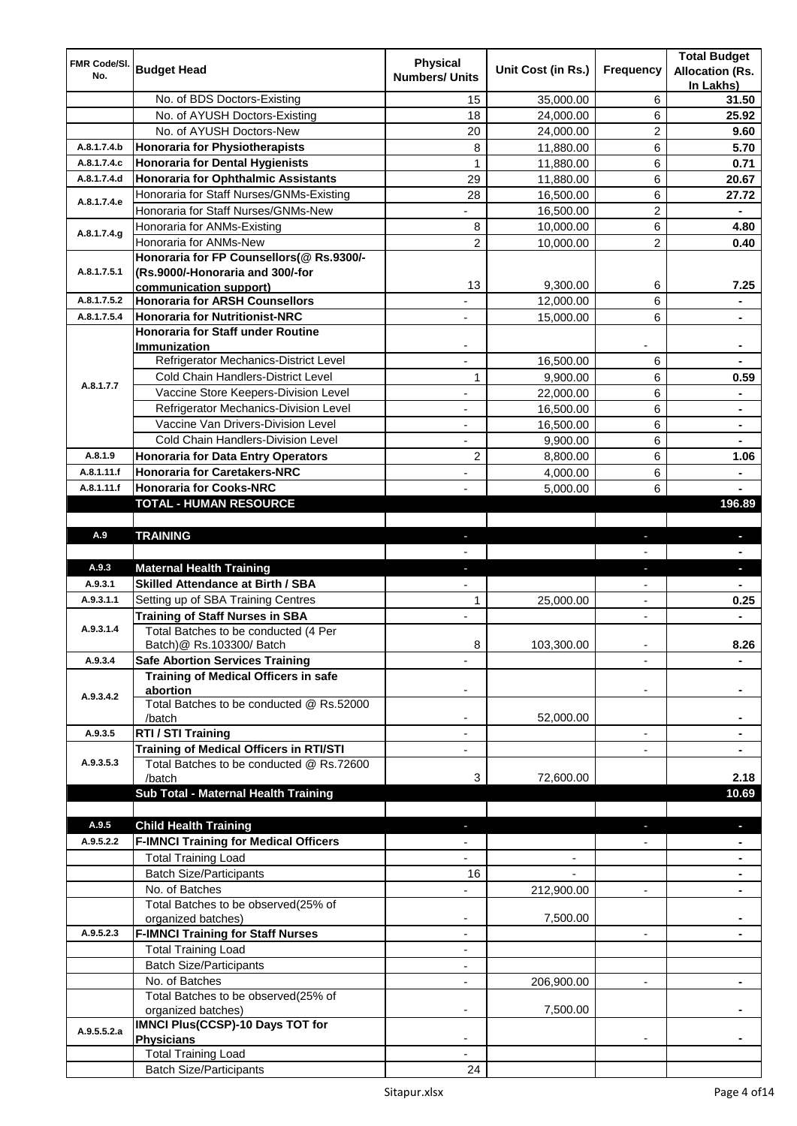| FMR Code/SI. |                                                    | <b>Physical</b>          |                    |                          | <b>Total Budget</b>                 |
|--------------|----------------------------------------------------|--------------------------|--------------------|--------------------------|-------------------------------------|
| No.          | <b>Budget Head</b>                                 | <b>Numbers/ Units</b>    | Unit Cost (in Rs.) | <b>Frequency</b>         | <b>Allocation (Rs.</b><br>In Lakhs) |
|              | No. of BDS Doctors-Existing                        | 15                       | 35,000.00          | 6                        | 31.50                               |
|              | No. of AYUSH Doctors-Existing                      | 18                       | 24,000.00          | 6                        | 25.92                               |
|              | No. of AYUSH Doctors-New                           | 20                       | 24,000.00          | $\overline{2}$           | 9.60                                |
| A.8.1.7.4.b  | Honoraria for Physiotherapists                     | 8                        | 11,880.00          | 6                        | 5.70                                |
| A.8.1.7.4.c  | Honoraria for Dental Hygienists                    | $\mathbf{1}$             | 11,880.00          | 6                        | 0.71                                |
| A.8.1.7.4.d  | Honoraria for Ophthalmic Assistants                | 29                       | 11,880.00          | 6                        | 20.67                               |
|              | Honoraria for Staff Nurses/GNMs-Existing           | 28                       | 16,500.00          | 6                        | 27.72                               |
| A.8.1.7.4.e  | Honoraria for Staff Nurses/GNMs-New                | L,                       | 16,500.00          | $\overline{c}$           | $\qquad \qquad \blacksquare$        |
|              | Honoraria for ANMs-Existing                        | 8                        | 10,000.00          | 6                        | 4.80                                |
| A.8.1.7.4.g  | Honoraria for ANMs-New                             | 2                        | 10,000.00          | $\overline{2}$           | 0.40                                |
|              | Honoraria for FP Counsellors(@ Rs.9300/-           |                          |                    |                          |                                     |
| A.8.1.7.5.1  | (Rs.9000/-Honoraria and 300/-for                   |                          |                    |                          |                                     |
|              | communication support)                             | 13                       | 9,300.00           | 6                        | 7.25                                |
| A.8.1.7.5.2  | <b>Honoraria for ARSH Counsellors</b>              |                          | 12,000.00          | 6                        |                                     |
| A.8.1.7.5.4  | Honoraria for Nutritionist-NRC                     |                          | 15,000.00          | 6                        | $\blacksquare$                      |
|              | <b>Honoraria for Staff under Routine</b>           |                          |                    |                          |                                     |
|              | Immunization                                       |                          |                    |                          | $\blacksquare$                      |
|              | Refrigerator Mechanics-District Level              |                          | 16,500.00          | 6                        |                                     |
| A.8.1.7.7    | Cold Chain Handlers-District Level                 | 1                        | 9,900.00           | 6                        | 0.59                                |
|              | Vaccine Store Keepers-Division Level               |                          | 22,000.00          | 6                        |                                     |
|              | Refrigerator Mechanics-Division Level              |                          | 16,500.00          | 6                        |                                     |
|              | Vaccine Van Drivers-Division Level                 |                          | 16,500.00          | 6                        |                                     |
|              | Cold Chain Handlers-Division Level                 |                          | 9,900.00           | 6                        |                                     |
| A.8.1.9      | <b>Honoraria for Data Entry Operators</b>          | 2                        | 8,800.00           | 6                        | 1.06                                |
| A.8.1.11.f   | <b>Honoraria for Caretakers-NRC</b>                |                          | 4,000.00           | 6                        |                                     |
| A.8.1.11.f   | <b>Honoraria for Cooks-NRC</b>                     |                          | 5,000.00           | 6                        |                                     |
|              | <b>TOTAL - HUMAN RESOURCE</b>                      |                          |                    |                          | 196.89                              |
| A.9          | <b>TRAINING</b>                                    |                          |                    |                          |                                     |
|              |                                                    |                          |                    |                          |                                     |
| A.9.3        | <b>Maternal Health Training</b>                    |                          |                    | E.                       |                                     |
| A.9.3.1      | <b>Skilled Attendance at Birth / SBA</b>           |                          |                    |                          |                                     |
| A.9.3.1.1    | Setting up of SBA Training Centres                 | 1                        | 25,000.00          | $\blacksquare$           | 0.25                                |
|              | <b>Training of Staff Nurses in SBA</b>             |                          |                    |                          |                                     |
| A.9.3.1.4    | Total Batches to be conducted (4 Per               |                          |                    |                          |                                     |
|              | Batch) @ Rs.103300/ Batch                          | 8                        | 103,300.00         |                          | 8.26                                |
| A.9.3.4      | <b>Safe Abortion Services Training</b>             |                          |                    |                          |                                     |
|              | <b>Training of Medical Officers in safe</b>        |                          |                    |                          |                                     |
| A.9.3.4.2    | abortion                                           |                          |                    |                          |                                     |
|              | Total Batches to be conducted @ Rs.52000           |                          |                    |                          |                                     |
|              | /batch                                             |                          | 52,000.00          |                          |                                     |
| A.9.3.5      | RTI / STI Training                                 |                          |                    | $\overline{\phantom{a}}$ |                                     |
|              | <b>Training of Medical Officers in RTI/STI</b>     | $\overline{a}$           |                    | $\overline{\phantom{a}}$ |                                     |
| A.9.3.5.3    | Total Batches to be conducted @ Rs.72600<br>/batch | 3                        | 72,600.00          |                          | 2.18                                |
|              | Sub Total - Maternal Health Training               |                          |                    |                          | 10.69                               |
|              |                                                    |                          |                    |                          |                                     |
| A.9.5        | <b>Child Health Training</b>                       |                          |                    |                          | D.                                  |
| A.9.5.2.2    | <b>F-IMNCI Training for Medical Officers</b>       |                          |                    |                          |                                     |
|              | <b>Total Training Load</b>                         |                          |                    |                          |                                     |
|              | <b>Batch Size/Participants</b>                     | 16                       |                    |                          |                                     |
|              | No. of Batches                                     |                          | 212,900.00         | $\overline{\phantom{a}}$ |                                     |
|              | Total Batches to be observed(25% of                |                          |                    |                          |                                     |
|              | organized batches)                                 |                          | 7,500.00           |                          |                                     |
| A.9.5.2.3    | <b>F-IMNCI Training for Staff Nurses</b>           | $\overline{\phantom{a}}$ |                    | $\overline{\phantom{a}}$ |                                     |
|              | <b>Total Training Load</b>                         | ٠                        |                    |                          |                                     |
|              | <b>Batch Size/Participants</b>                     | ٠                        |                    |                          |                                     |
|              | No. of Batches                                     | $\blacksquare$           | 206,900.00         | $\overline{\phantom{a}}$ |                                     |
|              | Total Batches to be observed(25% of                |                          |                    |                          |                                     |
|              | organized batches)                                 |                          | 7,500.00           |                          |                                     |
| A.9.5.5.2.a  | <b>IMNCI Plus(CCSP)-10 Days TOT for</b>            |                          |                    |                          |                                     |
|              | <b>Physicians</b>                                  |                          |                    |                          |                                     |
|              | <b>Total Training Load</b>                         | $\sim$                   |                    |                          |                                     |
|              | <b>Batch Size/Participants</b>                     | 24                       |                    |                          |                                     |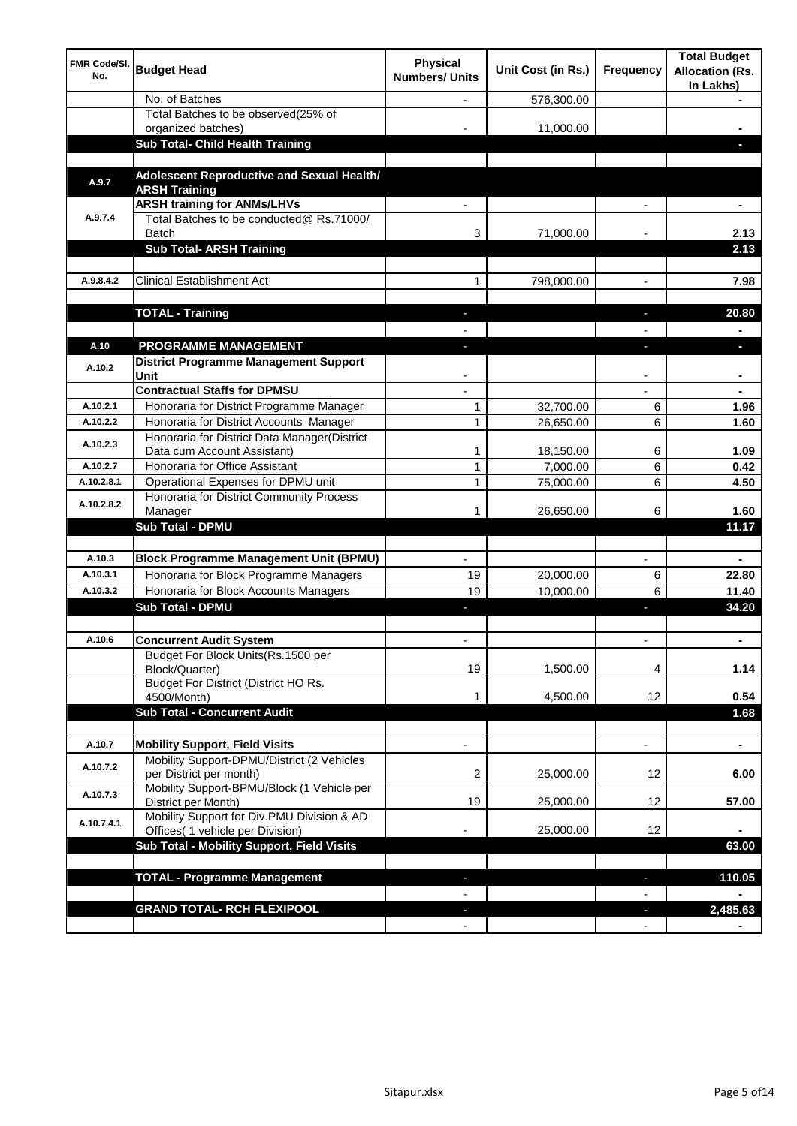| <b>FMR Code/SI.</b><br>No. | <b>Budget Head</b>                                                    | <b>Physical</b><br><b>Numbers/ Units</b> | Unit Cost (in Rs.)    | <b>Frequency</b> | <b>Total Budget</b><br><b>Allocation (Rs.</b><br>In Lakhs) |
|----------------------------|-----------------------------------------------------------------------|------------------------------------------|-----------------------|------------------|------------------------------------------------------------|
|                            | No. of Batches                                                        |                                          | 576,300.00            |                  |                                                            |
|                            | Total Batches to be observed(25% of                                   |                                          |                       |                  |                                                            |
|                            | organized batches)                                                    |                                          | 11,000.00             |                  |                                                            |
|                            | Sub Total- Child Health Training                                      |                                          |                       |                  |                                                            |
|                            |                                                                       |                                          |                       |                  |                                                            |
| A.9.7                      | Adolescent Reproductive and Sexual Health/<br><b>ARSH Training</b>    |                                          |                       |                  |                                                            |
|                            | <b>ARSH training for ANMs/LHVs</b>                                    |                                          |                       |                  |                                                            |
| A.9.7.4                    | Total Batches to be conducted@ Rs.71000/                              |                                          |                       |                  |                                                            |
|                            | <b>Batch</b>                                                          | 3                                        | 71,000.00             |                  | 2.13                                                       |
|                            | <b>Sub Total- ARSH Training</b>                                       |                                          |                       |                  | 2.13                                                       |
|                            |                                                                       |                                          |                       |                  |                                                            |
| A.9.8.4.2                  | <b>Clinical Establishment Act</b>                                     | 1                                        | 798,000.00            | $\blacksquare$   | 7.98                                                       |
|                            |                                                                       |                                          |                       |                  |                                                            |
|                            | <b>TOTAL - Training</b>                                               | $\overline{\phantom{a}}$                 |                       | J.               | 20.80                                                      |
|                            |                                                                       |                                          |                       |                  |                                                            |
| A.10                       | <b>PROGRAMME MANAGEMENT</b>                                           | -                                        |                       | ı                | $\blacksquare$                                             |
| A.10.2                     | <b>District Programme Management Support</b><br>Unit                  |                                          |                       |                  |                                                            |
|                            | <b>Contractual Staffs for DPMSU</b>                                   |                                          |                       |                  |                                                            |
| A.10.2.1                   | Honoraria for District Programme Manager                              | 1                                        | 32,700.00             | 6                | 1.96                                                       |
| A.10.2.2                   | Honoraria for District Accounts Manager                               | 1                                        | 26,650.00             | 6                | 1.60                                                       |
| A.10.2.3                   | Honoraria for District Data Manager(District                          |                                          |                       |                  |                                                            |
| A.10.2.7                   | Data cum Account Assistant)<br>Honoraria for Office Assistant         | 1<br>1                                   | 18,150.00<br>7,000.00 | 6<br>6           | 1.09<br>0.42                                               |
| A.10.2.8.1                 | Operational Expenses for DPMU unit                                    | 1                                        | 75,000.00             | 6                | 4.50                                                       |
|                            | Honoraria for District Community Process                              |                                          |                       |                  |                                                            |
| A.10.2.8.2                 | Manager                                                               | 1                                        | 26,650.00             | 6                | 1.60                                                       |
|                            | <b>Sub Total - DPMU</b>                                               |                                          |                       |                  | 11.17                                                      |
|                            |                                                                       |                                          |                       |                  |                                                            |
| A.10.3                     | <b>Block Programme Management Unit (BPMU)</b>                         |                                          |                       |                  |                                                            |
| A.10.3.1                   | Honoraria for Block Programme Managers                                | 19                                       | 20,000.00             | 6                | 22.80                                                      |
| A.10.3.2                   | Honoraria for Block Accounts Managers                                 | 19                                       | 10,000.00             | 6                | 11.40                                                      |
|                            | <b>Sub Total - DPMU</b>                                               |                                          |                       | ٠                | 34.20                                                      |
|                            |                                                                       |                                          |                       |                  |                                                            |
| A.10.6                     | <b>Concurrent Audit System</b>                                        |                                          |                       |                  |                                                            |
|                            | Budget For Block Units(Rs.1500 per                                    |                                          |                       |                  |                                                            |
|                            | Block/Quarter)<br>Budget For District (District HO Rs.                | 19                                       | 1,500.00              | 4                | 1.14                                                       |
|                            | 4500/Month)                                                           | 1                                        | 4,500.00              | 12 <sup>2</sup>  | 0.54                                                       |
|                            | <b>Sub Total - Concurrent Audit</b>                                   |                                          |                       |                  | 1.68                                                       |
|                            |                                                                       |                                          |                       |                  |                                                            |
| A.10.7                     | <b>Mobility Support, Field Visits</b>                                 | $\overline{\phantom{a}}$                 |                       | $\blacksquare$   | $\blacksquare$                                             |
| A.10.7.2                   | Mobility Support-DPMU/District (2 Vehicles<br>per District per month) | 2                                        | 25,000.00             | 12               | 6.00                                                       |
| A.10.7.3                   | Mobility Support-BPMU/Block (1 Vehicle per                            |                                          |                       |                  |                                                            |
| A.10.7.4.1                 | District per Month)<br>Mobility Support for Div.PMU Division & AD     | 19                                       | 25,000.00             | 12               | 57.00                                                      |
|                            | Offices( 1 vehicle per Division)                                      |                                          | 25,000.00             | 12               |                                                            |
|                            | Sub Total - Mobility Support, Field Visits                            |                                          |                       |                  | 63.00                                                      |
|                            | <b>TOTAL - Programme Management</b>                                   |                                          |                       |                  | 110.05                                                     |
|                            |                                                                       |                                          |                       |                  |                                                            |
|                            | <b>GRAND TOTAL- RCH FLEXIPOOL</b>                                     |                                          |                       |                  | 2,485.63                                                   |
|                            |                                                                       |                                          |                       |                  |                                                            |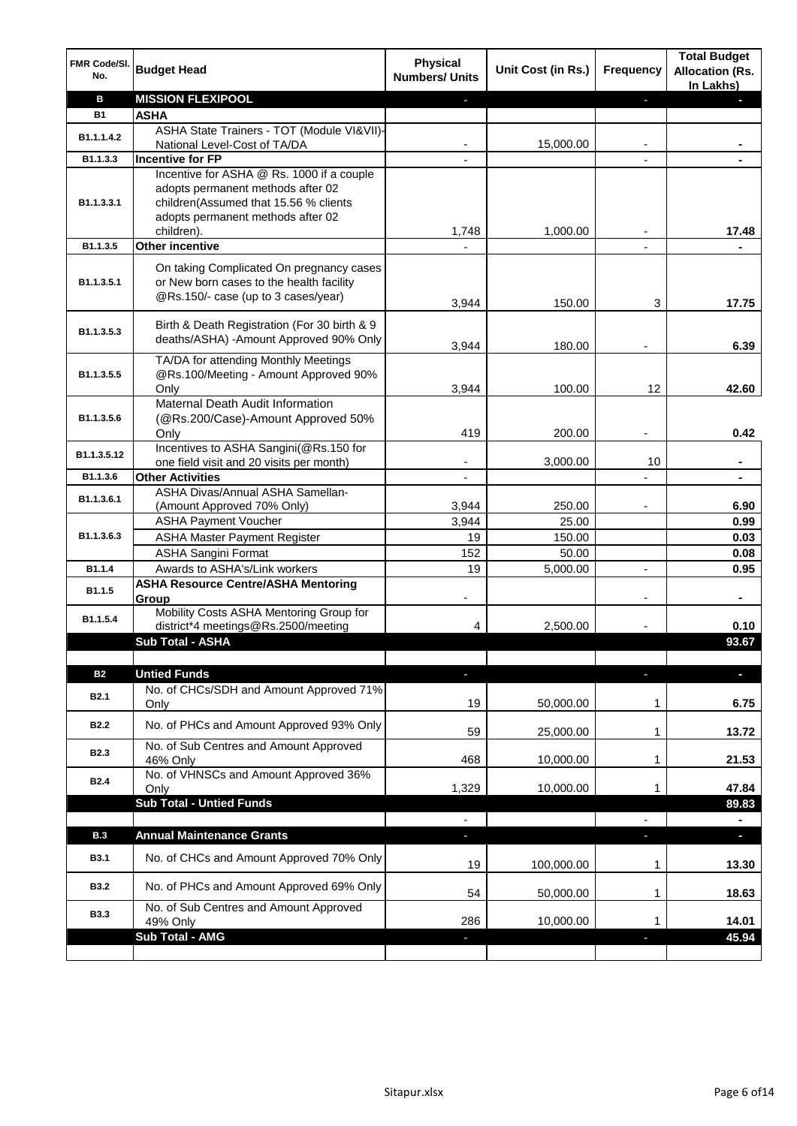| J,<br><b>ASHA</b><br><b>B1</b><br>ASHA State Trainers - TOT (Module VI&VII)-<br>B1.1.1.4.2<br>National Level-Cost of TA/DA<br>15,000.00<br><b>Incentive for FP</b><br>B1.1.3.3<br>Incentive for ASHA @ Rs. 1000 if a couple<br>adopts permanent methods after 02<br>children(Assumed that 15.56 % clients<br>B <sub>1.1</sub> .3.3.1<br>adopts permanent methods after 02<br>1,000.00<br>children).<br>1,748<br>17.48<br><b>Other incentive</b><br>B1.1.3.5<br>On taking Complicated On pregnancy cases<br>or New born cases to the health facility<br>B1.1.3.5.1<br>@Rs.150/- case (up to 3 cases/year)<br>3,944<br>150.00<br>3<br>17.75<br>Birth & Death Registration (For 30 birth & 9<br>B1.1.3.5.3<br>deaths/ASHA) - Amount Approved 90% Only<br>6.39<br>3,944<br>180.00<br>٠<br>TA/DA for attending Monthly Meetings<br>@Rs.100/Meeting - Amount Approved 90%<br>B1.1.3.5.5<br>3,944<br>100.00<br>12<br>42.60<br>Only<br>Maternal Death Audit Information<br>B1.1.3.5.6<br>(@Rs.200/Case)-Amount Approved 50%<br>419<br>Only<br>200.00<br>0.42<br>Incentives to ASHA Sangini(@Rs.150 for<br>B1.1.3.5.12<br>3,000.00<br>10<br>one field visit and 20 visits per month)<br><b>Other Activities</b><br>B1.1.3.6<br>L,<br>$\blacksquare$<br>ASHA Divas/Annual ASHA Samellan-<br>B1.1.3.6.1<br>3,944<br>250.00<br>6.90<br>(Amount Approved 70% Only)<br>٠<br><b>ASHA Payment Voucher</b><br>3,944<br>25.00<br>0.99<br>B1.1.3.6.3<br><b>ASHA Master Payment Register</b><br>19<br>150.00<br>0.03<br><b>ASHA Sangini Format</b><br>152<br>50.00<br>0.08<br>Awards to ASHA's/Link workers<br>B1.1.4<br>19<br>5,000.00<br>0.95<br>$\overline{\phantom{a}}$<br><b>ASHA Resource Centre/ASHA Mentoring</b><br>B1.1.5<br>Group<br>Mobility Costs ASHA Mentoring Group for<br>B1.1.5.4<br>district*4 meetings@Rs.2500/meeting<br>2,500.00<br>0.10<br>4<br>93.67<br>Sub Total - ASHA<br><b>Untied Funds</b><br><b>B2</b><br>$\blacksquare$<br>$\blacksquare$<br>٠<br>No. of CHCs/SDH and Amount Approved 71%<br><b>B2.1</b><br>19<br>50,000.00<br>6.75<br>Only<br>1<br>No. of PHCs and Amount Approved 93% Only<br><b>B2.2</b><br>59<br>25,000.00<br>13.72<br>1<br>No. of Sub Centres and Amount Approved<br>B <sub>2.3</sub><br>468<br>10,000.00<br>21.53<br>46% Only<br>1<br>No. of VHNSCs and Amount Approved 36%<br><b>B2.4</b><br>1,329<br>10,000.00<br>47.84<br>Only<br>1<br><b>Sub Total - Untied Funds</b><br>89.83<br>$\overline{\phantom{a}}$<br>$\overline{a}$<br>$\blacksquare$<br><b>Annual Maintenance Grants</b><br><b>B.3</b><br>a.<br>٠<br>ı<br>No. of CHCs and Amount Approved 70% Only<br><b>B3.1</b><br>19<br>100,000.00<br>13.30<br>1<br>No. of PHCs and Amount Approved 69% Only<br><b>B3.2</b><br>54<br>18.63<br>50,000.00<br>1<br>No. of Sub Centres and Amount Approved<br><b>B3.3</b><br>14.01<br>10,000.00<br>286<br>49% Only<br>1<br>Sub Total - AMG<br>45.94 | FMR Code/SI.<br>No. | <b>Budget Head</b>       | <b>Physical</b><br><b>Numbers/ Units</b> | Unit Cost (in Rs.) | Frequency | <b>Total Budget</b><br><b>Allocation (Rs.</b><br>In Lakhs) |
|-----------------------------------------------------------------------------------------------------------------------------------------------------------------------------------------------------------------------------------------------------------------------------------------------------------------------------------------------------------------------------------------------------------------------------------------------------------------------------------------------------------------------------------------------------------------------------------------------------------------------------------------------------------------------------------------------------------------------------------------------------------------------------------------------------------------------------------------------------------------------------------------------------------------------------------------------------------------------------------------------------------------------------------------------------------------------------------------------------------------------------------------------------------------------------------------------------------------------------------------------------------------------------------------------------------------------------------------------------------------------------------------------------------------------------------------------------------------------------------------------------------------------------------------------------------------------------------------------------------------------------------------------------------------------------------------------------------------------------------------------------------------------------------------------------------------------------------------------------------------------------------------------------------------------------------------------------------------------------------------------------------------------------------------------------------------------------------------------------------------------------------------------------------------------------------------------------------------------------------------------------------------------------------------------------------------------------------------------------------------------------------------------------------------------------------------------------------------------------------------------------------------------------------------------------------------------------------------------------------------------------------------------------------------------------------------------------------------------------------------------------------------------------------------------------------------------------------------------------------------------------------|---------------------|--------------------------|------------------------------------------|--------------------|-----------|------------------------------------------------------------|
|                                                                                                                                                                                                                                                                                                                                                                                                                                                                                                                                                                                                                                                                                                                                                                                                                                                                                                                                                                                                                                                                                                                                                                                                                                                                                                                                                                                                                                                                                                                                                                                                                                                                                                                                                                                                                                                                                                                                                                                                                                                                                                                                                                                                                                                                                                                                                                                                                                                                                                                                                                                                                                                                                                                                                                                                                                                                                   | в                   | <b>MISSION FLEXIPOOL</b> |                                          |                    |           |                                                            |
|                                                                                                                                                                                                                                                                                                                                                                                                                                                                                                                                                                                                                                                                                                                                                                                                                                                                                                                                                                                                                                                                                                                                                                                                                                                                                                                                                                                                                                                                                                                                                                                                                                                                                                                                                                                                                                                                                                                                                                                                                                                                                                                                                                                                                                                                                                                                                                                                                                                                                                                                                                                                                                                                                                                                                                                                                                                                                   |                     |                          |                                          |                    |           |                                                            |
|                                                                                                                                                                                                                                                                                                                                                                                                                                                                                                                                                                                                                                                                                                                                                                                                                                                                                                                                                                                                                                                                                                                                                                                                                                                                                                                                                                                                                                                                                                                                                                                                                                                                                                                                                                                                                                                                                                                                                                                                                                                                                                                                                                                                                                                                                                                                                                                                                                                                                                                                                                                                                                                                                                                                                                                                                                                                                   |                     |                          |                                          |                    |           |                                                            |
|                                                                                                                                                                                                                                                                                                                                                                                                                                                                                                                                                                                                                                                                                                                                                                                                                                                                                                                                                                                                                                                                                                                                                                                                                                                                                                                                                                                                                                                                                                                                                                                                                                                                                                                                                                                                                                                                                                                                                                                                                                                                                                                                                                                                                                                                                                                                                                                                                                                                                                                                                                                                                                                                                                                                                                                                                                                                                   |                     |                          |                                          |                    |           |                                                            |
|                                                                                                                                                                                                                                                                                                                                                                                                                                                                                                                                                                                                                                                                                                                                                                                                                                                                                                                                                                                                                                                                                                                                                                                                                                                                                                                                                                                                                                                                                                                                                                                                                                                                                                                                                                                                                                                                                                                                                                                                                                                                                                                                                                                                                                                                                                                                                                                                                                                                                                                                                                                                                                                                                                                                                                                                                                                                                   |                     |                          |                                          |                    |           |                                                            |
|                                                                                                                                                                                                                                                                                                                                                                                                                                                                                                                                                                                                                                                                                                                                                                                                                                                                                                                                                                                                                                                                                                                                                                                                                                                                                                                                                                                                                                                                                                                                                                                                                                                                                                                                                                                                                                                                                                                                                                                                                                                                                                                                                                                                                                                                                                                                                                                                                                                                                                                                                                                                                                                                                                                                                                                                                                                                                   |                     |                          |                                          |                    |           |                                                            |
|                                                                                                                                                                                                                                                                                                                                                                                                                                                                                                                                                                                                                                                                                                                                                                                                                                                                                                                                                                                                                                                                                                                                                                                                                                                                                                                                                                                                                                                                                                                                                                                                                                                                                                                                                                                                                                                                                                                                                                                                                                                                                                                                                                                                                                                                                                                                                                                                                                                                                                                                                                                                                                                                                                                                                                                                                                                                                   |                     |                          |                                          |                    |           |                                                            |
|                                                                                                                                                                                                                                                                                                                                                                                                                                                                                                                                                                                                                                                                                                                                                                                                                                                                                                                                                                                                                                                                                                                                                                                                                                                                                                                                                                                                                                                                                                                                                                                                                                                                                                                                                                                                                                                                                                                                                                                                                                                                                                                                                                                                                                                                                                                                                                                                                                                                                                                                                                                                                                                                                                                                                                                                                                                                                   |                     |                          |                                          |                    |           |                                                            |
|                                                                                                                                                                                                                                                                                                                                                                                                                                                                                                                                                                                                                                                                                                                                                                                                                                                                                                                                                                                                                                                                                                                                                                                                                                                                                                                                                                                                                                                                                                                                                                                                                                                                                                                                                                                                                                                                                                                                                                                                                                                                                                                                                                                                                                                                                                                                                                                                                                                                                                                                                                                                                                                                                                                                                                                                                                                                                   |                     |                          |                                          |                    |           |                                                            |
|                                                                                                                                                                                                                                                                                                                                                                                                                                                                                                                                                                                                                                                                                                                                                                                                                                                                                                                                                                                                                                                                                                                                                                                                                                                                                                                                                                                                                                                                                                                                                                                                                                                                                                                                                                                                                                                                                                                                                                                                                                                                                                                                                                                                                                                                                                                                                                                                                                                                                                                                                                                                                                                                                                                                                                                                                                                                                   |                     |                          |                                          |                    |           |                                                            |
|                                                                                                                                                                                                                                                                                                                                                                                                                                                                                                                                                                                                                                                                                                                                                                                                                                                                                                                                                                                                                                                                                                                                                                                                                                                                                                                                                                                                                                                                                                                                                                                                                                                                                                                                                                                                                                                                                                                                                                                                                                                                                                                                                                                                                                                                                                                                                                                                                                                                                                                                                                                                                                                                                                                                                                                                                                                                                   |                     |                          |                                          |                    |           |                                                            |
|                                                                                                                                                                                                                                                                                                                                                                                                                                                                                                                                                                                                                                                                                                                                                                                                                                                                                                                                                                                                                                                                                                                                                                                                                                                                                                                                                                                                                                                                                                                                                                                                                                                                                                                                                                                                                                                                                                                                                                                                                                                                                                                                                                                                                                                                                                                                                                                                                                                                                                                                                                                                                                                                                                                                                                                                                                                                                   |                     |                          |                                          |                    |           |                                                            |
|                                                                                                                                                                                                                                                                                                                                                                                                                                                                                                                                                                                                                                                                                                                                                                                                                                                                                                                                                                                                                                                                                                                                                                                                                                                                                                                                                                                                                                                                                                                                                                                                                                                                                                                                                                                                                                                                                                                                                                                                                                                                                                                                                                                                                                                                                                                                                                                                                                                                                                                                                                                                                                                                                                                                                                                                                                                                                   |                     |                          |                                          |                    |           |                                                            |
|                                                                                                                                                                                                                                                                                                                                                                                                                                                                                                                                                                                                                                                                                                                                                                                                                                                                                                                                                                                                                                                                                                                                                                                                                                                                                                                                                                                                                                                                                                                                                                                                                                                                                                                                                                                                                                                                                                                                                                                                                                                                                                                                                                                                                                                                                                                                                                                                                                                                                                                                                                                                                                                                                                                                                                                                                                                                                   |                     |                          |                                          |                    |           |                                                            |
|                                                                                                                                                                                                                                                                                                                                                                                                                                                                                                                                                                                                                                                                                                                                                                                                                                                                                                                                                                                                                                                                                                                                                                                                                                                                                                                                                                                                                                                                                                                                                                                                                                                                                                                                                                                                                                                                                                                                                                                                                                                                                                                                                                                                                                                                                                                                                                                                                                                                                                                                                                                                                                                                                                                                                                                                                                                                                   |                     |                          |                                          |                    |           |                                                            |
|                                                                                                                                                                                                                                                                                                                                                                                                                                                                                                                                                                                                                                                                                                                                                                                                                                                                                                                                                                                                                                                                                                                                                                                                                                                                                                                                                                                                                                                                                                                                                                                                                                                                                                                                                                                                                                                                                                                                                                                                                                                                                                                                                                                                                                                                                                                                                                                                                                                                                                                                                                                                                                                                                                                                                                                                                                                                                   |                     |                          |                                          |                    |           |                                                            |
|                                                                                                                                                                                                                                                                                                                                                                                                                                                                                                                                                                                                                                                                                                                                                                                                                                                                                                                                                                                                                                                                                                                                                                                                                                                                                                                                                                                                                                                                                                                                                                                                                                                                                                                                                                                                                                                                                                                                                                                                                                                                                                                                                                                                                                                                                                                                                                                                                                                                                                                                                                                                                                                                                                                                                                                                                                                                                   |                     |                          |                                          |                    |           |                                                            |
|                                                                                                                                                                                                                                                                                                                                                                                                                                                                                                                                                                                                                                                                                                                                                                                                                                                                                                                                                                                                                                                                                                                                                                                                                                                                                                                                                                                                                                                                                                                                                                                                                                                                                                                                                                                                                                                                                                                                                                                                                                                                                                                                                                                                                                                                                                                                                                                                                                                                                                                                                                                                                                                                                                                                                                                                                                                                                   |                     |                          |                                          |                    |           |                                                            |
|                                                                                                                                                                                                                                                                                                                                                                                                                                                                                                                                                                                                                                                                                                                                                                                                                                                                                                                                                                                                                                                                                                                                                                                                                                                                                                                                                                                                                                                                                                                                                                                                                                                                                                                                                                                                                                                                                                                                                                                                                                                                                                                                                                                                                                                                                                                                                                                                                                                                                                                                                                                                                                                                                                                                                                                                                                                                                   |                     |                          |                                          |                    |           |                                                            |
|                                                                                                                                                                                                                                                                                                                                                                                                                                                                                                                                                                                                                                                                                                                                                                                                                                                                                                                                                                                                                                                                                                                                                                                                                                                                                                                                                                                                                                                                                                                                                                                                                                                                                                                                                                                                                                                                                                                                                                                                                                                                                                                                                                                                                                                                                                                                                                                                                                                                                                                                                                                                                                                                                                                                                                                                                                                                                   |                     |                          |                                          |                    |           |                                                            |
|                                                                                                                                                                                                                                                                                                                                                                                                                                                                                                                                                                                                                                                                                                                                                                                                                                                                                                                                                                                                                                                                                                                                                                                                                                                                                                                                                                                                                                                                                                                                                                                                                                                                                                                                                                                                                                                                                                                                                                                                                                                                                                                                                                                                                                                                                                                                                                                                                                                                                                                                                                                                                                                                                                                                                                                                                                                                                   |                     |                          |                                          |                    |           |                                                            |
|                                                                                                                                                                                                                                                                                                                                                                                                                                                                                                                                                                                                                                                                                                                                                                                                                                                                                                                                                                                                                                                                                                                                                                                                                                                                                                                                                                                                                                                                                                                                                                                                                                                                                                                                                                                                                                                                                                                                                                                                                                                                                                                                                                                                                                                                                                                                                                                                                                                                                                                                                                                                                                                                                                                                                                                                                                                                                   |                     |                          |                                          |                    |           |                                                            |
|                                                                                                                                                                                                                                                                                                                                                                                                                                                                                                                                                                                                                                                                                                                                                                                                                                                                                                                                                                                                                                                                                                                                                                                                                                                                                                                                                                                                                                                                                                                                                                                                                                                                                                                                                                                                                                                                                                                                                                                                                                                                                                                                                                                                                                                                                                                                                                                                                                                                                                                                                                                                                                                                                                                                                                                                                                                                                   |                     |                          |                                          |                    |           |                                                            |
|                                                                                                                                                                                                                                                                                                                                                                                                                                                                                                                                                                                                                                                                                                                                                                                                                                                                                                                                                                                                                                                                                                                                                                                                                                                                                                                                                                                                                                                                                                                                                                                                                                                                                                                                                                                                                                                                                                                                                                                                                                                                                                                                                                                                                                                                                                                                                                                                                                                                                                                                                                                                                                                                                                                                                                                                                                                                                   |                     |                          |                                          |                    |           |                                                            |
|                                                                                                                                                                                                                                                                                                                                                                                                                                                                                                                                                                                                                                                                                                                                                                                                                                                                                                                                                                                                                                                                                                                                                                                                                                                                                                                                                                                                                                                                                                                                                                                                                                                                                                                                                                                                                                                                                                                                                                                                                                                                                                                                                                                                                                                                                                                                                                                                                                                                                                                                                                                                                                                                                                                                                                                                                                                                                   |                     |                          |                                          |                    |           |                                                            |
|                                                                                                                                                                                                                                                                                                                                                                                                                                                                                                                                                                                                                                                                                                                                                                                                                                                                                                                                                                                                                                                                                                                                                                                                                                                                                                                                                                                                                                                                                                                                                                                                                                                                                                                                                                                                                                                                                                                                                                                                                                                                                                                                                                                                                                                                                                                                                                                                                                                                                                                                                                                                                                                                                                                                                                                                                                                                                   |                     |                          |                                          |                    |           |                                                            |
|                                                                                                                                                                                                                                                                                                                                                                                                                                                                                                                                                                                                                                                                                                                                                                                                                                                                                                                                                                                                                                                                                                                                                                                                                                                                                                                                                                                                                                                                                                                                                                                                                                                                                                                                                                                                                                                                                                                                                                                                                                                                                                                                                                                                                                                                                                                                                                                                                                                                                                                                                                                                                                                                                                                                                                                                                                                                                   |                     |                          |                                          |                    |           |                                                            |
|                                                                                                                                                                                                                                                                                                                                                                                                                                                                                                                                                                                                                                                                                                                                                                                                                                                                                                                                                                                                                                                                                                                                                                                                                                                                                                                                                                                                                                                                                                                                                                                                                                                                                                                                                                                                                                                                                                                                                                                                                                                                                                                                                                                                                                                                                                                                                                                                                                                                                                                                                                                                                                                                                                                                                                                                                                                                                   |                     |                          |                                          |                    |           |                                                            |
|                                                                                                                                                                                                                                                                                                                                                                                                                                                                                                                                                                                                                                                                                                                                                                                                                                                                                                                                                                                                                                                                                                                                                                                                                                                                                                                                                                                                                                                                                                                                                                                                                                                                                                                                                                                                                                                                                                                                                                                                                                                                                                                                                                                                                                                                                                                                                                                                                                                                                                                                                                                                                                                                                                                                                                                                                                                                                   |                     |                          |                                          |                    |           |                                                            |
|                                                                                                                                                                                                                                                                                                                                                                                                                                                                                                                                                                                                                                                                                                                                                                                                                                                                                                                                                                                                                                                                                                                                                                                                                                                                                                                                                                                                                                                                                                                                                                                                                                                                                                                                                                                                                                                                                                                                                                                                                                                                                                                                                                                                                                                                                                                                                                                                                                                                                                                                                                                                                                                                                                                                                                                                                                                                                   |                     |                          |                                          |                    |           |                                                            |
|                                                                                                                                                                                                                                                                                                                                                                                                                                                                                                                                                                                                                                                                                                                                                                                                                                                                                                                                                                                                                                                                                                                                                                                                                                                                                                                                                                                                                                                                                                                                                                                                                                                                                                                                                                                                                                                                                                                                                                                                                                                                                                                                                                                                                                                                                                                                                                                                                                                                                                                                                                                                                                                                                                                                                                                                                                                                                   |                     |                          |                                          |                    |           |                                                            |
|                                                                                                                                                                                                                                                                                                                                                                                                                                                                                                                                                                                                                                                                                                                                                                                                                                                                                                                                                                                                                                                                                                                                                                                                                                                                                                                                                                                                                                                                                                                                                                                                                                                                                                                                                                                                                                                                                                                                                                                                                                                                                                                                                                                                                                                                                                                                                                                                                                                                                                                                                                                                                                                                                                                                                                                                                                                                                   |                     |                          |                                          |                    |           |                                                            |
|                                                                                                                                                                                                                                                                                                                                                                                                                                                                                                                                                                                                                                                                                                                                                                                                                                                                                                                                                                                                                                                                                                                                                                                                                                                                                                                                                                                                                                                                                                                                                                                                                                                                                                                                                                                                                                                                                                                                                                                                                                                                                                                                                                                                                                                                                                                                                                                                                                                                                                                                                                                                                                                                                                                                                                                                                                                                                   |                     |                          |                                          |                    |           |                                                            |
|                                                                                                                                                                                                                                                                                                                                                                                                                                                                                                                                                                                                                                                                                                                                                                                                                                                                                                                                                                                                                                                                                                                                                                                                                                                                                                                                                                                                                                                                                                                                                                                                                                                                                                                                                                                                                                                                                                                                                                                                                                                                                                                                                                                                                                                                                                                                                                                                                                                                                                                                                                                                                                                                                                                                                                                                                                                                                   |                     |                          |                                          |                    |           |                                                            |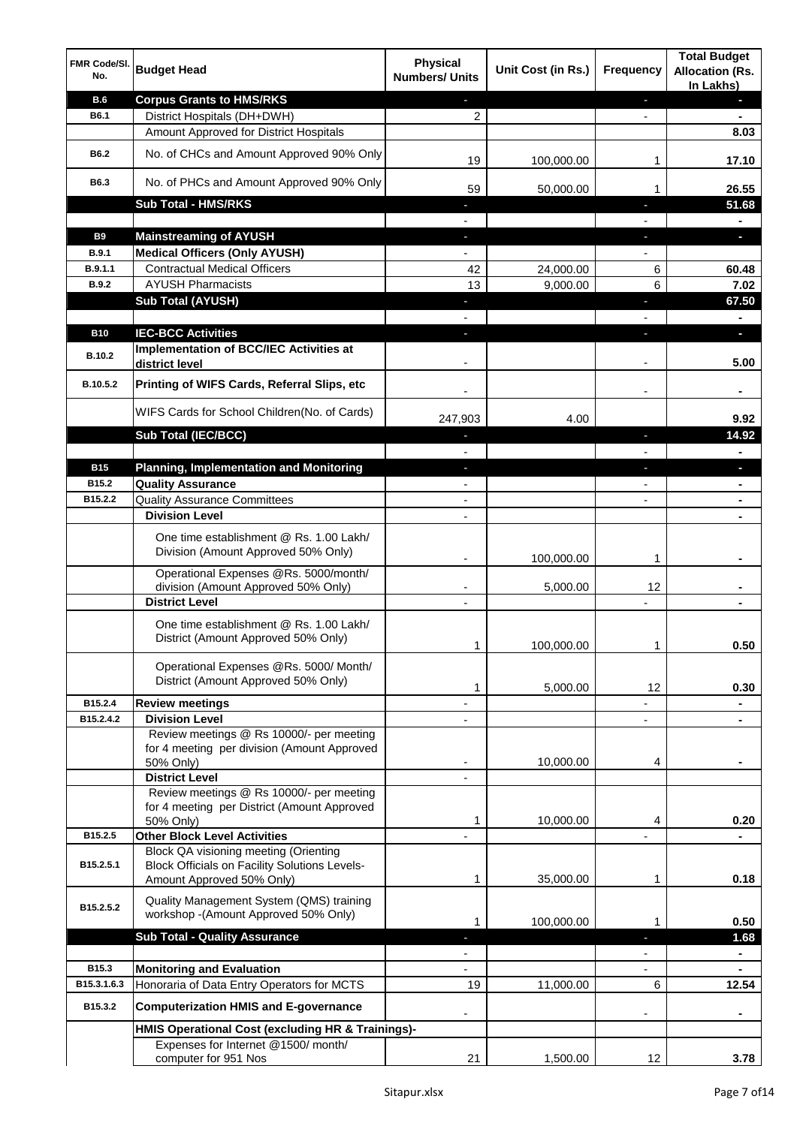| <b>FMR Code/SI.</b><br>No. | <b>Budget Head</b>                                                                                                         | <b>Physical</b><br><b>Numbers/ Units</b> | Unit Cost (in Rs.) | Frequency                | <b>Total Budget</b><br><b>Allocation (Rs.</b><br>In Lakhs) |
|----------------------------|----------------------------------------------------------------------------------------------------------------------------|------------------------------------------|--------------------|--------------------------|------------------------------------------------------------|
| <b>B.6</b>                 | <b>Corpus Grants to HMS/RKS</b>                                                                                            |                                          |                    | ٠                        | п                                                          |
| B6.1                       | District Hospitals (DH+DWH)                                                                                                | 2                                        |                    |                          |                                                            |
|                            | Amount Approved for District Hospitals                                                                                     |                                          |                    |                          | 8.03                                                       |
| B6.2                       | No. of CHCs and Amount Approved 90% Only                                                                                   | 19                                       | 100,000.00         | 1                        | 17.10                                                      |
| B6.3                       | No. of PHCs and Amount Approved 90% Only                                                                                   | 59                                       | 50,000.00          | 1                        | 26.55                                                      |
|                            | <b>Sub Total - HMS/RKS</b>                                                                                                 |                                          |                    | н                        | 51.68                                                      |
|                            |                                                                                                                            |                                          |                    |                          |                                                            |
| <b>B9</b>                  | <b>Mainstreaming of AYUSH</b>                                                                                              | ٠                                        |                    | J,                       | ь                                                          |
| <b>B.9.1</b>               | <b>Medical Officers (Only AYUSH)</b>                                                                                       |                                          |                    |                          |                                                            |
| B.9.1.1                    | <b>Contractual Medical Officers</b>                                                                                        | 42                                       | 24,000.00          | 6                        | 60.48                                                      |
| <b>B.9.2</b>               | <b>AYUSH Pharmacists</b>                                                                                                   | 13                                       | 9,000.00           | 6                        | 7.02                                                       |
|                            | <b>Sub Total (AYUSH)</b>                                                                                                   |                                          |                    | н                        | 67.50                                                      |
|                            |                                                                                                                            |                                          |                    |                          |                                                            |
| <b>B10</b>                 | <b>IEC-BCC Activities</b>                                                                                                  |                                          |                    | ı                        | ь                                                          |
|                            | Implementation of BCC/IEC Activities at                                                                                    |                                          |                    |                          |                                                            |
| B.10.2                     | district level                                                                                                             |                                          |                    | $\overline{\phantom{a}}$ | 5.00                                                       |
| B.10.5.2                   | Printing of WIFS Cards, Referral Slips, etc                                                                                |                                          |                    | ٠                        |                                                            |
|                            | WIFS Cards for School Children(No. of Cards)                                                                               | 247,903                                  | 4.00               |                          | 9.92                                                       |
|                            | Sub Total (IEC/BCC)                                                                                                        | ٠                                        |                    | ٠                        | 14.92                                                      |
|                            |                                                                                                                            | $\overline{\phantom{a}}$                 |                    | ٠                        | $\blacksquare$                                             |
| <b>B15</b>                 | <b>Planning, Implementation and Monitoring</b>                                                                             | $\blacksquare$                           |                    | ٠                        | $\blacksquare$                                             |
| B <sub>15.2</sub>          | <b>Quality Assurance</b>                                                                                                   | $\blacksquare$                           |                    | $\overline{\phantom{a}}$ | $\blacksquare$                                             |
| B15.2.2                    | <b>Quality Assurance Committees</b>                                                                                        | $\overline{\phantom{a}}$                 |                    | ٠                        | $\blacksquare$                                             |
|                            | <b>Division Level</b>                                                                                                      | $\overline{a}$                           |                    |                          | $\blacksquare$                                             |
|                            | One time establishment @ Rs. 1.00 Lakh/<br>Division (Amount Approved 50% Only)                                             |                                          | 100,000.00         | 1                        |                                                            |
|                            | Operational Expenses @Rs. 5000/month/                                                                                      |                                          |                    |                          |                                                            |
|                            | division (Amount Approved 50% Only)                                                                                        |                                          | 5,000.00           | 12                       |                                                            |
|                            | <b>District Level</b>                                                                                                      |                                          |                    |                          |                                                            |
|                            | One time establishment @ Rs. 1.00 Lakh/<br>District (Amount Approved 50% Only)                                             | 1                                        | 100,000.00         | 1                        | 0.50                                                       |
|                            | Operational Expenses @Rs. 5000/ Month/<br>District (Amount Approved 50% Only)                                              | 1                                        | 5,000.00           | 12                       | 0.30                                                       |
| B15.2.4                    | <b>Review meetings</b>                                                                                                     |                                          |                    |                          |                                                            |
| B15.2.4.2                  | <b>Division Level</b>                                                                                                      |                                          |                    | $\overline{\phantom{0}}$ | ٠                                                          |
|                            | Review meetings @ Rs 10000/- per meeting<br>for 4 meeting per division (Amount Approved<br>50% Only)                       |                                          | 10,000.00          | 4                        |                                                            |
|                            | <b>District Level</b>                                                                                                      |                                          |                    |                          |                                                            |
|                            | Review meetings @ Rs 10000/- per meeting<br>for 4 meeting per District (Amount Approved                                    |                                          |                    |                          |                                                            |
|                            | 50% Only)                                                                                                                  | 1                                        | 10,000.00          | 4                        | 0.20                                                       |
| B15.2.5                    | <b>Other Block Level Activities</b>                                                                                        |                                          |                    | $\overline{\phantom{a}}$ |                                                            |
| B15.2.5.1                  | Block QA visioning meeting (Orienting<br><b>Block Officials on Facility Solutions Levels-</b><br>Amount Approved 50% Only) | 1                                        | 35,000.00          | 1                        | 0.18                                                       |
| B15.2.5.2                  | Quality Management System (QMS) training<br>workshop -(Amount Approved 50% Only)                                           |                                          | 100,000.00         |                          | 0.50                                                       |
|                            | <b>Sub Total - Quality Assurance</b>                                                                                       |                                          |                    | ı.                       | 1.68                                                       |
|                            |                                                                                                                            |                                          |                    |                          | ۰                                                          |
| B15.3                      | <b>Monitoring and Evaluation</b>                                                                                           |                                          |                    |                          |                                                            |
| B15.3.1.6.3                | Honoraria of Data Entry Operators for MCTS                                                                                 | 19                                       | 11,000.00          | 6                        | 12.54                                                      |
| B15.3.2                    | <b>Computerization HMIS and E-governance</b>                                                                               | $\overline{\phantom{a}}$                 |                    | ۰                        | ٠                                                          |
|                            | HMIS Operational Cost (excluding HR & Trainings)-                                                                          |                                          |                    |                          |                                                            |
|                            | Expenses for Internet @1500/month/                                                                                         |                                          |                    |                          |                                                            |
|                            | computer for 951 Nos                                                                                                       | 21                                       | 1,500.00           | 12                       | 3.78                                                       |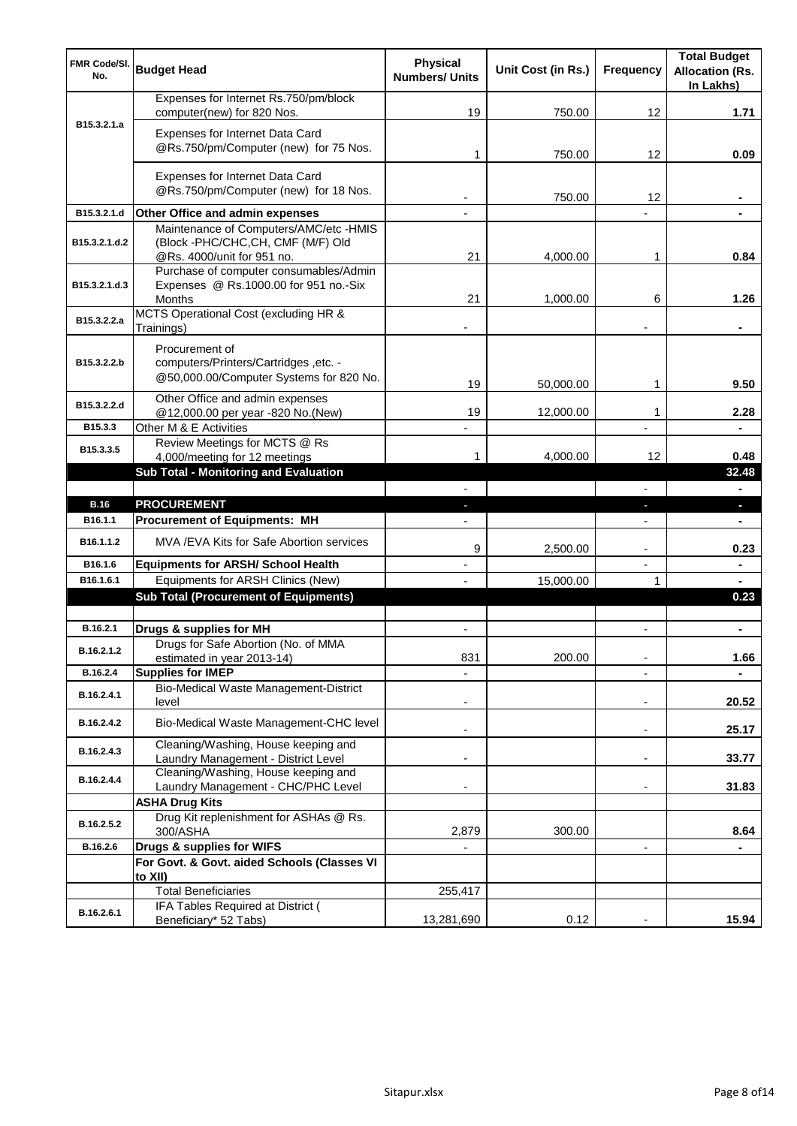| <b>FMR Code/SI.</b><br>No. | <b>Budget Head</b>                                                                                        | <b>Physical</b><br><b>Numbers/ Units</b> | Unit Cost (in Rs.) | <b>Frequency</b>         | <b>Total Budget</b><br><b>Allocation (Rs.</b><br>In Lakhs) |
|----------------------------|-----------------------------------------------------------------------------------------------------------|------------------------------------------|--------------------|--------------------------|------------------------------------------------------------|
|                            | Expenses for Internet Rs.750/pm/block<br>computer(new) for 820 Nos.                                       | 19                                       | 750.00             | 12                       | 1.71                                                       |
| B15.3.2.1.a                | Expenses for Internet Data Card<br>@Rs.750/pm/Computer (new) for 75 Nos.                                  | 1                                        | 750.00             | 12                       | 0.09                                                       |
|                            | Expenses for Internet Data Card<br>@Rs.750/pm/Computer (new) for 18 Nos.                                  |                                          | 750.00             | 12                       |                                                            |
| B15.3.2.1.d                | Other Office and admin expenses                                                                           |                                          |                    |                          |                                                            |
| B15.3.2.1.d.2              | Maintenance of Computers/AMC/etc -HMIS<br>(Block -PHC/CHC,CH, CMF (M/F) Old<br>@Rs. 4000/unit for 951 no. | 21                                       | 4,000.00           | 1                        | 0.84                                                       |
| B15.3.2.1.d.3              | Purchase of computer consumables/Admin<br>Expenses @ Rs.1000.00 for 951 no.-Six<br>Months                 | 21                                       | 1,000.00           | 6                        | 1.26                                                       |
| B15.3.2.2.a                | MCTS Operational Cost (excluding HR &<br>Trainings)                                                       |                                          |                    |                          |                                                            |
| B15.3.2.2.b                | Procurement of<br>computers/Printers/Cartridges, etc. -<br>@50,000.00/Computer Systems for 820 No.        | 19                                       | 50,000.00          | 1                        | 9.50                                                       |
| B15.3.2.2.d                | Other Office and admin expenses<br>@12,000.00 per year -820 No.(New)                                      | 19                                       | 12,000.00          | 1                        | 2.28                                                       |
| B15.3.3                    | Other M & E Activities                                                                                    |                                          |                    |                          |                                                            |
| B15.3.3.5                  | Review Meetings for MCTS @ Rs<br>4,000/meeting for 12 meetings                                            | 1                                        | 4,000.00           | 12                       | 0.48                                                       |
|                            | Sub Total - Monitoring and Evaluation                                                                     |                                          |                    |                          | 32.48                                                      |
|                            |                                                                                                           |                                          |                    |                          | $\blacksquare$                                             |
| <b>B.16</b>                | <b>PROCUREMENT</b>                                                                                        | $\blacksquare$                           |                    | ٠                        | $\blacksquare$                                             |
| B16.1.1<br>B16.1.1.2       | <b>Procurement of Equipments: MH</b><br>MVA /EVA Kits for Safe Abortion services                          |                                          |                    | $\overline{\phantom{a}}$ | $\blacksquare$                                             |
| B16.1.6                    | <b>Equipments for ARSH/ School Health</b>                                                                 | 9                                        | 2,500.00           | ٠                        | 0.23                                                       |
| B16.1.6.1                  | Equipments for ARSH Clinics (New)                                                                         |                                          | 15,000.00          | 1                        |                                                            |
|                            | <b>Sub Total (Procurement of Equipments)</b>                                                              |                                          |                    |                          | 0.23                                                       |
|                            |                                                                                                           |                                          |                    |                          |                                                            |
| B.16.2.1                   | Drugs & supplies for MH                                                                                   |                                          |                    |                          |                                                            |
| B.16.2.1.2                 | Drugs for Safe Abortion (No. of MMA<br>estimated in year 2013-14)                                         | 831                                      | 200.00             | $\blacksquare$           | 1.66                                                       |
| B.16.2.4                   | <b>Supplies for IMEP</b>                                                                                  |                                          |                    | $\overline{\phantom{a}}$ |                                                            |
| B.16.2.4.1                 | Bio-Medical Waste Management-District<br>level                                                            |                                          |                    | $\overline{\phantom{a}}$ | 20.52                                                      |
| B.16.2.4.2                 | Bio-Medical Waste Management-CHC level                                                                    | ٠                                        |                    | $\overline{\phantom{a}}$ | 25.17                                                      |
| B.16.2.4.3                 | Cleaning/Washing, House keeping and<br>Laundry Management - District Level                                |                                          |                    | ٠                        | 33.77                                                      |
| B.16.2.4.4                 | Cleaning/Washing, House keeping and<br>Laundry Management - CHC/PHC Level                                 |                                          |                    | $\overline{\phantom{a}}$ | 31.83                                                      |
|                            | <b>ASHA Drug Kits</b>                                                                                     |                                          |                    |                          |                                                            |
| B.16.2.5.2                 | Drug Kit replenishment for ASHAs @ Rs.<br>300/ASHA                                                        | 2,879                                    | 300.00             |                          | 8.64                                                       |
| B.16.2.6                   | Drugs & supplies for WIFS                                                                                 |                                          |                    | $\blacksquare$           |                                                            |
|                            | For Govt. & Govt. aided Schools (Classes VI                                                               |                                          |                    |                          |                                                            |
|                            | to XII)<br><b>Total Beneficiaries</b>                                                                     | 255,417                                  |                    |                          |                                                            |
|                            | IFA Tables Required at District (                                                                         |                                          |                    |                          |                                                            |
| B.16.2.6.1                 | Beneficiary* 52 Tabs)                                                                                     | 13,281,690                               | 0.12               |                          | 15.94                                                      |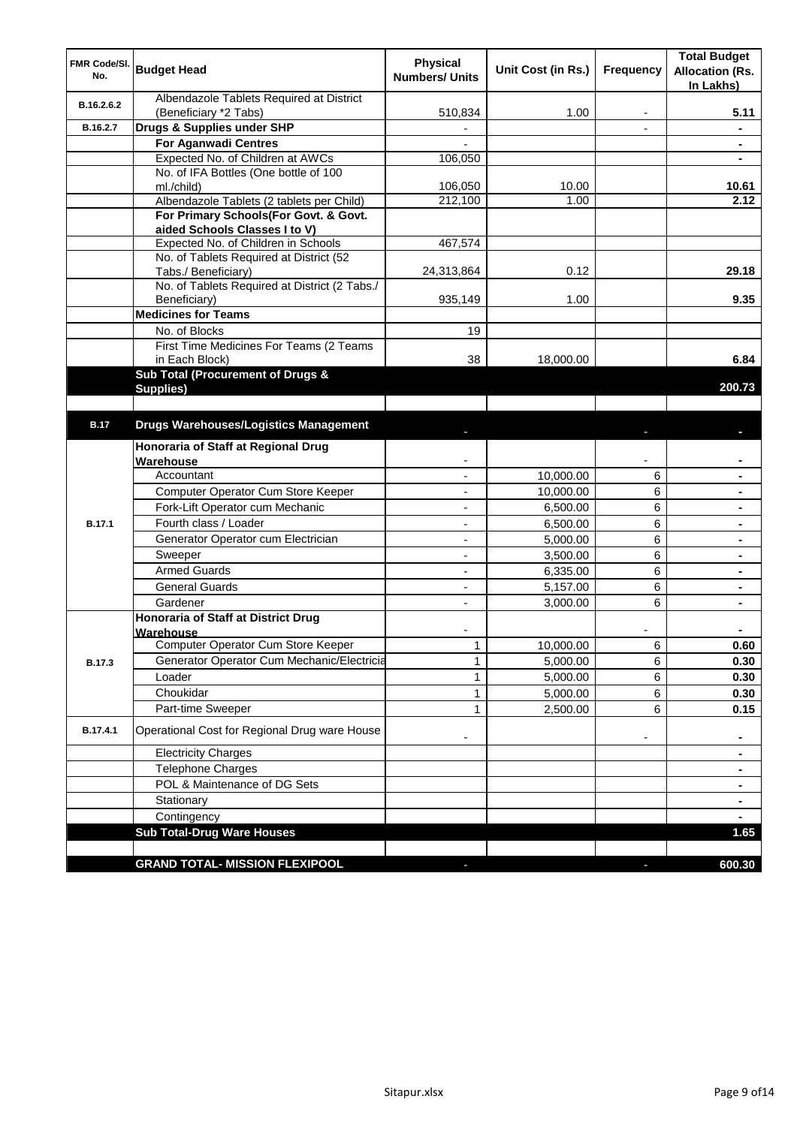| FMR Code/SI.<br>No. | <b>Budget Head</b>                                                        | <b>Physical</b><br><b>Numbers/ Units</b> | Unit Cost (in Rs.) | <b>Frequency</b> | <b>Total Budget</b><br><b>Allocation (Rs.</b><br>In Lakhs) |
|---------------------|---------------------------------------------------------------------------|------------------------------------------|--------------------|------------------|------------------------------------------------------------|
| B.16.2.6.2          | Albendazole Tablets Required at District                                  |                                          |                    |                  |                                                            |
| B.16.2.7            | (Beneficiary *2 Tabs)<br>Drugs & Supplies under SHP                       | 510,834                                  | 1.00               | ٠                | 5.11                                                       |
|                     |                                                                           | $\overline{\phantom{0}}$                 |                    | ٠                | $\blacksquare$                                             |
|                     | <b>For Aganwadi Centres</b>                                               |                                          |                    |                  | $\blacksquare$                                             |
|                     | Expected No. of Children at AWCs<br>No. of IFA Bottles (One bottle of 100 | 106,050                                  |                    |                  |                                                            |
|                     | ml./child)                                                                | 106,050                                  | 10.00              |                  | 10.61                                                      |
|                     | Albendazole Tablets (2 tablets per Child)                                 | 212,100                                  | 1.00               |                  | 2.12                                                       |
|                     | For Primary Schools(For Govt. & Govt.                                     |                                          |                    |                  |                                                            |
|                     | aided Schools Classes I to V)                                             |                                          |                    |                  |                                                            |
|                     | Expected No. of Children in Schools                                       | 467,574                                  |                    |                  |                                                            |
|                     | No. of Tablets Required at District (52                                   |                                          |                    |                  |                                                            |
|                     | Tabs./ Beneficiary)                                                       | 24,313,864                               | 0.12               |                  | 29.18                                                      |
|                     | No. of Tablets Required at District (2 Tabs./                             |                                          |                    |                  |                                                            |
|                     | Beneficiary)                                                              | 935,149                                  | 1.00               |                  | 9.35                                                       |
|                     | <b>Medicines for Teams</b>                                                |                                          |                    |                  |                                                            |
|                     | No. of Blocks                                                             | 19                                       |                    |                  |                                                            |
|                     | First Time Medicines For Teams (2 Teams                                   |                                          |                    |                  |                                                            |
|                     | in Each Block)<br>Sub Total (Procurement of Drugs &                       | 38                                       | 18,000.00          |                  | 6.84                                                       |
|                     | Supplies)                                                                 |                                          |                    |                  | 200.73                                                     |
|                     |                                                                           |                                          |                    |                  |                                                            |
| <b>B.17</b>         | <b>Drugs Warehouses/Logistics Management</b>                              |                                          |                    |                  |                                                            |
|                     | Honoraria of Staff at Regional Drug                                       |                                          |                    |                  |                                                            |
|                     | Warehouse                                                                 |                                          |                    |                  |                                                            |
|                     | Accountant                                                                |                                          | 10,000.00          | 6                |                                                            |
|                     | Computer Operator Cum Store Keeper                                        |                                          | 10,000.00          | 6                |                                                            |
|                     | Fork-Lift Operator cum Mechanic                                           |                                          | 6,500.00           | 6                |                                                            |
| <b>B.17.1</b>       | Fourth class / Loader                                                     |                                          | 6,500.00           | 6                |                                                            |
|                     | Generator Operator cum Electrician                                        | $\overline{\phantom{a}}$                 | 5,000.00           | 6                |                                                            |
|                     | Sweeper                                                                   | $\overline{\phantom{0}}$                 | 3,500.00           | 6                |                                                            |
|                     | <b>Armed Guards</b>                                                       | $\overline{a}$                           | 6,335.00           | 6                |                                                            |
|                     | <b>General Guards</b>                                                     | $\overline{\phantom{0}}$                 | 5,157.00           | 6                |                                                            |
|                     | Gardener                                                                  | ÷.                                       | 3,000.00           | 6                |                                                            |
|                     | <b>Honoraria of Staff at District Drug</b><br>Warehouse                   |                                          |                    |                  |                                                            |
|                     | Computer Operator Cum Store Keeper                                        | 1                                        | 10,000.00          | 6                | 0.60                                                       |
| B.17.3              | Generator Operator Cum Mechanic/Electricia                                | 1                                        | 5,000.00           | 6                | 0.30                                                       |
|                     | Loader                                                                    | 1                                        | 5,000.00           | 6                | 0.30                                                       |
|                     | Choukidar                                                                 | 1                                        | 5,000.00           | 6                | 0.30                                                       |
|                     | Part-time Sweeper                                                         | 1                                        | 2,500.00           | 6                | 0.15                                                       |
| B.17.4.1            | Operational Cost for Regional Drug ware House                             | ٠                                        |                    | ۰                | ٠                                                          |
|                     | <b>Electricity Charges</b>                                                |                                          |                    |                  | $\blacksquare$                                             |
|                     | Telephone Charges                                                         |                                          |                    |                  | ٠                                                          |
|                     | POL & Maintenance of DG Sets                                              |                                          |                    |                  | ٠                                                          |
|                     | Stationary                                                                |                                          |                    |                  | $\blacksquare$                                             |
|                     | Contingency                                                               |                                          |                    |                  |                                                            |
|                     | <b>Sub Total-Drug Ware Houses</b>                                         |                                          |                    |                  | 1.65                                                       |
|                     |                                                                           |                                          |                    |                  |                                                            |
|                     | <b>GRAND TOTAL- MISSION FLEXIPOOL</b>                                     |                                          |                    |                  | 600.30                                                     |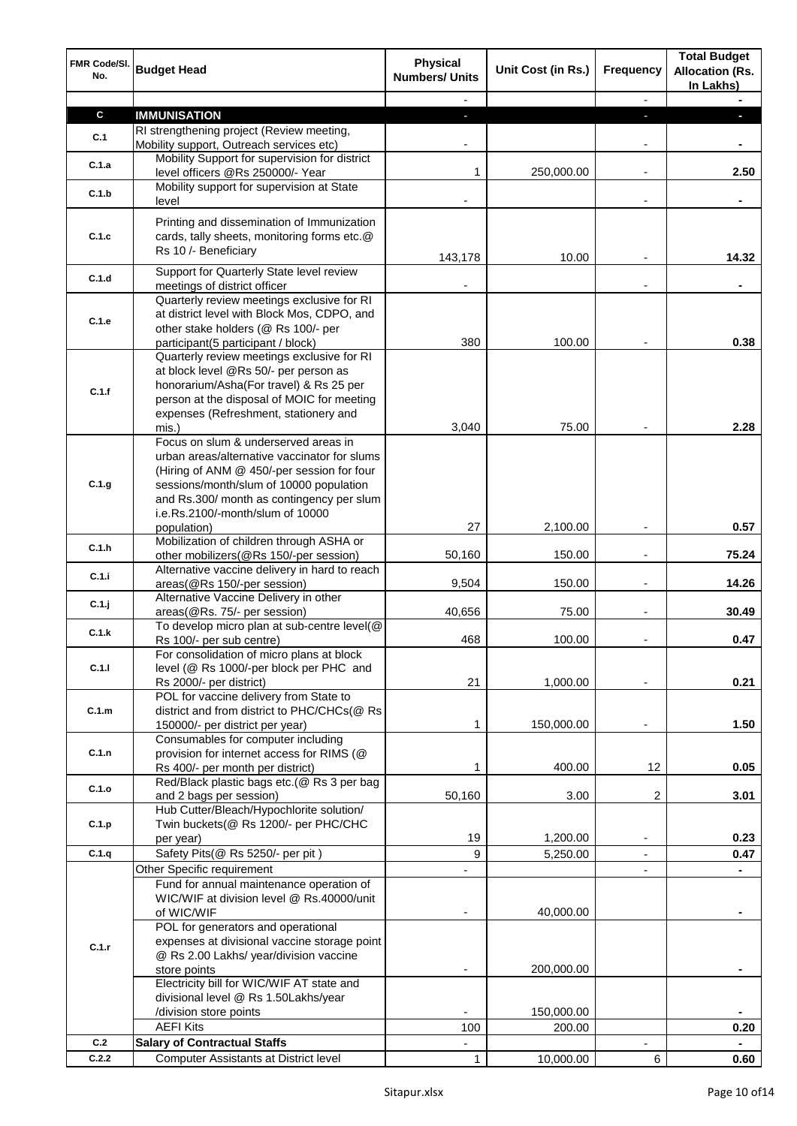| FMR Code/SI.<br>No. | <b>Budget Head</b>                                                                                                                                                                                                                                                            | <b>Physical</b><br><b>Numbers/ Units</b> | Unit Cost (in Rs.) | <b>Frequency</b>         | <b>Total Budget</b><br><b>Allocation (Rs.</b><br>In Lakhs) |
|---------------------|-------------------------------------------------------------------------------------------------------------------------------------------------------------------------------------------------------------------------------------------------------------------------------|------------------------------------------|--------------------|--------------------------|------------------------------------------------------------|
|                     |                                                                                                                                                                                                                                                                               |                                          |                    | $\overline{\phantom{a}}$ |                                                            |
| $\mathbf c$         | <b>IMMUNISATION</b>                                                                                                                                                                                                                                                           | ٠                                        |                    | ÷                        | п                                                          |
| C.1                 | RI strengthening project (Review meeting,                                                                                                                                                                                                                                     |                                          |                    |                          |                                                            |
|                     | Mobility support, Outreach services etc)<br>Mobility Support for supervision for district                                                                                                                                                                                     |                                          |                    | ۰                        |                                                            |
| C.1.a               | level officers @Rs 250000/- Year                                                                                                                                                                                                                                              | 1                                        | 250,000.00         | $\overline{\phantom{a}}$ | 2.50                                                       |
| C.1.b               | Mobility support for supervision at State<br>level                                                                                                                                                                                                                            |                                          |                    | ٠                        |                                                            |
| C.1.c               | Printing and dissemination of Immunization<br>cards, tally sheets, monitoring forms etc.@<br>Rs 10 /- Beneficiary                                                                                                                                                             | 143,178                                  | 10.00              |                          | 14.32                                                      |
| C.1.d               | Support for Quarterly State level review<br>meetings of district officer                                                                                                                                                                                                      |                                          |                    | $\overline{a}$           |                                                            |
| C.1.e               | Quarterly review meetings exclusive for RI<br>at district level with Block Mos, CDPO, and<br>other stake holders (@ Rs 100/- per<br>participant(5 participant / block)                                                                                                        | 380                                      | 100.00             |                          | 0.38                                                       |
| C.1.f               | Quarterly review meetings exclusive for RI<br>at block level @Rs 50/- per person as<br>honorarium/Asha(For travel) & Rs 25 per<br>person at the disposal of MOIC for meeting<br>expenses (Refreshment, stationery and<br>mis.)                                                | 3,040                                    | 75.00              |                          | 2.28                                                       |
| C.1.g               | Focus on slum & underserved areas in<br>urban areas/alternative vaccinator for slums<br>(Hiring of ANM @ 450/-per session for four<br>sessions/month/slum of 10000 population<br>and Rs.300/ month as contingency per slum<br>i.e.Rs.2100/-month/slum of 10000<br>population) | 27                                       | 2,100.00           |                          | 0.57                                                       |
| C.1.h               | Mobilization of children through ASHA or                                                                                                                                                                                                                                      |                                          |                    |                          |                                                            |
|                     | other mobilizers(@Rs 150/-per session)                                                                                                                                                                                                                                        | 50,160                                   | 150.00             |                          | 75.24                                                      |
| C.1.i               | Alternative vaccine delivery in hard to reach<br>areas(@Rs 150/-per session)                                                                                                                                                                                                  | 9,504                                    | 150.00             | L,                       | 14.26                                                      |
| $C.1$ .j            | Alternative Vaccine Delivery in other<br>areas(@Rs. 75/- per session)                                                                                                                                                                                                         | 40,656                                   | 75.00              |                          | 30.49                                                      |
| C.1.k               | To develop micro plan at sub-centre level(@<br>Rs 100/- per sub centre)                                                                                                                                                                                                       | 468                                      | 100.00             |                          | 0.47                                                       |
| C.1.1               | For consolidation of micro plans at block<br>level (@ Rs 1000/-per block per PHC and<br>Rs 2000/- per district)                                                                                                                                                               | 21                                       | 1,000.00           |                          | 0.21                                                       |
| C.1.m               | POL for vaccine delivery from State to<br>district and from district to PHC/CHCs(@ Rs<br>150000/- per district per year)                                                                                                                                                      | 1                                        | 150,000.00         |                          | 1.50                                                       |
| C.1.n               | Consumables for computer including<br>provision for internet access for RIMS (@<br>Rs 400/- per month per district)                                                                                                                                                           | 1                                        | 400.00             | 12                       | 0.05                                                       |
| C.1.o               | Red/Black plastic bags etc.(@ Rs 3 per bag<br>and 2 bags per session)                                                                                                                                                                                                         | 50,160                                   | 3.00               | 2                        | 3.01                                                       |
| C.1.p               | Hub Cutter/Bleach/Hypochlorite solution/<br>Twin buckets(@ Rs 1200/- per PHC/CHC<br>per year)                                                                                                                                                                                 | 19                                       | 1,200.00           | $\overline{\phantom{a}}$ | 0.23                                                       |
| C.1.q               | Safety Pits(@ Rs 5250/- per pit)                                                                                                                                                                                                                                              | 9                                        | 5,250.00           | $\blacksquare$           | 0.47                                                       |
|                     | Other Specific requirement                                                                                                                                                                                                                                                    |                                          |                    | $\overline{\phantom{a}}$ |                                                            |
|                     | Fund for annual maintenance operation of<br>WIC/WIF at division level @ Rs.40000/unit<br>of WIC/WIF<br>POL for generators and operational                                                                                                                                     |                                          | 40,000.00          |                          | $\blacksquare$                                             |
| C.1.r               | expenses at divisional vaccine storage point<br>@ Rs 2.00 Lakhs/ year/division vaccine<br>store points<br>Electricity bill for WIC/WIF AT state and                                                                                                                           |                                          | 200,000.00         |                          |                                                            |
|                     | divisional level @ Rs 1.50Lakhs/year                                                                                                                                                                                                                                          |                                          |                    |                          |                                                            |
|                     | /division store points                                                                                                                                                                                                                                                        |                                          | 150,000.00         |                          |                                                            |
|                     | <b>AEFI Kits</b>                                                                                                                                                                                                                                                              | 100                                      | 200.00             |                          | 0.20                                                       |
| C.2<br>C.2.2        | <b>Salary of Contractual Staffs</b>                                                                                                                                                                                                                                           |                                          |                    |                          |                                                            |
|                     | <b>Computer Assistants at District level</b>                                                                                                                                                                                                                                  | $\mathbf{1}$                             | 10,000.00          | 6                        | 0.60                                                       |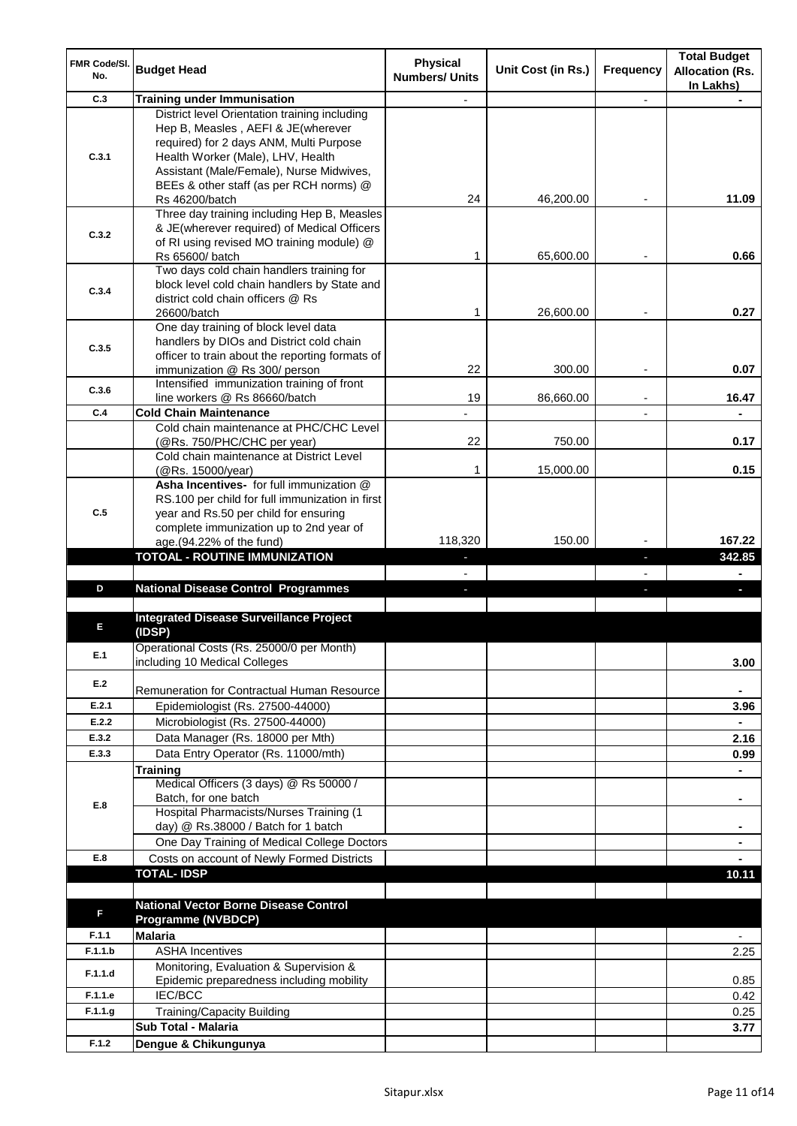| <b>FMR Code/SI.</b><br>No. | <b>Budget Head</b>                                                                                                                                                                                                                                         | <b>Physical</b><br><b>Numbers/ Units</b> | Unit Cost (in Rs.) | <b>Frequency</b> | <b>Total Budget</b><br><b>Allocation (Rs.</b><br>In Lakhs) |
|----------------------------|------------------------------------------------------------------------------------------------------------------------------------------------------------------------------------------------------------------------------------------------------------|------------------------------------------|--------------------|------------------|------------------------------------------------------------|
| C.3                        | <b>Training under Immunisation</b>                                                                                                                                                                                                                         |                                          |                    | ä,               |                                                            |
| C.3.1                      | District level Orientation training including<br>Hep B, Measles, AEFI & JE(wherever<br>required) for 2 days ANM, Multi Purpose<br>Health Worker (Male), LHV, Health<br>Assistant (Male/Female), Nurse Midwives,<br>BEEs & other staff (as per RCH norms) @ |                                          |                    |                  |                                                            |
|                            | Rs 46200/batch                                                                                                                                                                                                                                             | 24                                       | 46,200.00          |                  | 11.09                                                      |
| C.3.2                      | Three day training including Hep B, Measles<br>& JE(wherever required) of Medical Officers<br>of RI using revised MO training module) @<br>Rs 65600/ batch                                                                                                 | 1                                        | 65,600.00          |                  | 0.66                                                       |
| C.3.4                      | Two days cold chain handlers training for<br>block level cold chain handlers by State and<br>district cold chain officers @ Rs<br>26600/batch                                                                                                              | 1                                        | 26,600.00          |                  | 0.27                                                       |
| C.3.5                      | One day training of block level data<br>handlers by DIOs and District cold chain<br>officer to train about the reporting formats of<br>immunization @ Rs 300/ person                                                                                       | 22                                       | 300.00             |                  | 0.07                                                       |
| C.3.6                      | Intensified immunization training of front                                                                                                                                                                                                                 |                                          |                    |                  |                                                            |
| C.4                        | line workers @ Rs 86660/batch<br><b>Cold Chain Maintenance</b>                                                                                                                                                                                             | 19                                       | 86,660.00          |                  | 16.47<br>÷.                                                |
|                            | Cold chain maintenance at PHC/CHC Level<br>(@Rs. 750/PHC/CHC per year)                                                                                                                                                                                     | 22                                       | 750.00             |                  | 0.17                                                       |
|                            | Cold chain maintenance at District Level<br>(@Rs. 15000/year)                                                                                                                                                                                              | 1                                        | 15,000.00          |                  | 0.15                                                       |
| C.5                        | Asha Incentives- for full immunization @<br>RS.100 per child for full immunization in first<br>year and Rs.50 per child for ensuring<br>complete immunization up to 2nd year of<br>age.(94.22% of the fund)                                                | 118,320                                  | 150.00             |                  | 167.22                                                     |
|                            | <b>TOTOAL - ROUTINE IMMUNIZATION</b>                                                                                                                                                                                                                       |                                          |                    | ı                | 342.85                                                     |
|                            |                                                                                                                                                                                                                                                            |                                          |                    |                  |                                                            |
|                            |                                                                                                                                                                                                                                                            |                                          |                    |                  |                                                            |
| D                          | <b>National Disease Control Programmes</b>                                                                                                                                                                                                                 |                                          |                    |                  |                                                            |
| Е                          | <b>Integrated Disease Surveillance Project</b><br>(IDSP)                                                                                                                                                                                                   |                                          |                    |                  |                                                            |
| E.1                        | Operational Costs (Rs. 25000/0 per Month)<br>including 10 Medical Colleges                                                                                                                                                                                 |                                          |                    |                  | 3.00                                                       |
| E.2                        | Remuneration for Contractual Human Resource                                                                                                                                                                                                                |                                          |                    |                  |                                                            |
| E.2.1                      | Epidemiologist (Rs. 27500-44000)                                                                                                                                                                                                                           |                                          |                    |                  | 3.96                                                       |
| E.2.2                      | Microbiologist (Rs. 27500-44000)                                                                                                                                                                                                                           |                                          |                    |                  |                                                            |
| E.3.2                      | Data Manager (Rs. 18000 per Mth)                                                                                                                                                                                                                           |                                          |                    |                  | 2.16                                                       |
| E.3.3                      | Data Entry Operator (Rs. 11000/mth)                                                                                                                                                                                                                        |                                          |                    |                  | 0.99                                                       |
|                            | <b>Training</b><br>Medical Officers (3 days) @ Rs 50000 /<br>Batch, for one batch                                                                                                                                                                          |                                          |                    |                  | $\blacksquare$                                             |
| E.8                        | Hospital Pharmacists/Nurses Training (1<br>day) @ Rs.38000 / Batch for 1 batch                                                                                                                                                                             |                                          |                    |                  |                                                            |
| E.8                        | One Day Training of Medical College Doctors                                                                                                                                                                                                                |                                          |                    |                  | ٠                                                          |
|                            | Costs on account of Newly Formed Districts<br><b>TOTAL-IDSP</b>                                                                                                                                                                                            |                                          |                    |                  | 10.11                                                      |
|                            |                                                                                                                                                                                                                                                            |                                          |                    |                  |                                                            |
| F                          | <b>National Vector Borne Disease Control</b><br><b>Programme (NVBDCP)</b>                                                                                                                                                                                  |                                          |                    |                  |                                                            |
| F.1.1                      | <b>Malaria</b>                                                                                                                                                                                                                                             |                                          |                    |                  |                                                            |
| F.1.1.b                    | <b>ASHA Incentives</b><br>Monitoring, Evaluation & Supervision &                                                                                                                                                                                           |                                          |                    |                  | 2.25                                                       |
| F.1.1.d                    | Epidemic preparedness including mobility                                                                                                                                                                                                                   |                                          |                    |                  | 0.85                                                       |
| F.1.1.e                    | IEC/BCC                                                                                                                                                                                                                                                    |                                          |                    |                  | 0.42                                                       |
| F.1.1.g                    | <b>Training/Capacity Building</b><br><b>Sub Total - Malaria</b>                                                                                                                                                                                            |                                          |                    |                  | 0.25<br>3.77                                               |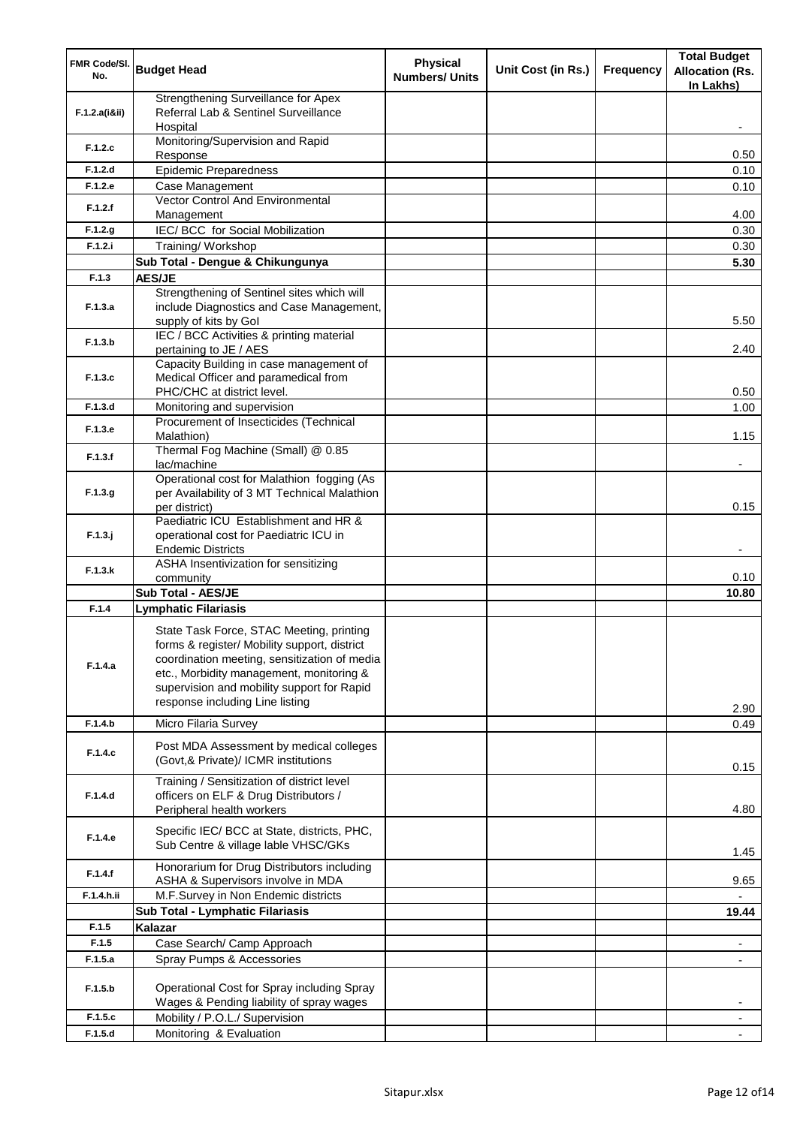| Strengthening Surveillance for Apex<br>Referral Lab & Sentinel Surveillance<br>F.1.2.a(iⅈ)<br>Hospital<br>Monitoring/Supervision and Rapid<br>F.1.2.c<br>0.50<br>Response<br><b>Epidemic Preparedness</b><br>F.1.2.d<br>0.10<br>F.1.2.e<br>Case Management<br>0.10<br>Vector Control And Environmental<br>F.1.2.f<br>Management<br>4.00<br>IEC/ BCC for Social Mobilization<br>F.1.2.g<br>0.30<br>F.1.2.i<br>Training/Workshop<br>0.30<br>Sub Total - Dengue & Chikungunya<br>5.30<br><b>AES/JE</b><br>F.1.3<br>Strengthening of Sentinel sites which will<br>include Diagnostics and Case Management,<br>F.1.3.a<br>5.50<br>supply of kits by Gol<br>IEC / BCC Activities & printing material<br>F.1.3.b<br>pertaining to JE / AES<br>2.40<br>Capacity Building in case management of<br>Medical Officer and paramedical from<br>F.1.3.c<br>PHC/CHC at district level.<br>0.50<br>F.1.3.d<br>Monitoring and supervision<br>1.00<br>Procurement of Insecticides (Technical<br>F.1.3.e<br>1.15<br>Malathion)<br>Thermal Fog Machine (Small) @ 0.85<br>F.1.3.f<br>lac/machine<br>Operational cost for Malathion fogging (As<br>per Availability of 3 MT Technical Malathion<br>F.1.3.9<br>0.15<br>per district)<br>Paediatric ICU Establishment and HR &<br>$F.1.3.$ j<br>operational cost for Paediatric ICU in<br><b>Endemic Districts</b><br>$\blacksquare$<br>ASHA Insentivization for sensitizing<br>F.1.3.k<br>0.10<br>community<br><b>Sub Total - AES/JE</b><br>10.80<br>F.1.4<br><b>Lymphatic Filariasis</b><br>State Task Force, STAC Meeting, printing<br>forms & register/ Mobility support, district<br>coordination meeting, sensitization of media<br>F.1.4.a<br>etc., Morbidity management, monitoring &<br>supervision and mobility support for Rapid<br>response including Line listing<br>2.90<br>F.1.4.b<br>Micro Filaria Survey<br>0.49<br>Post MDA Assessment by medical colleges<br>F.1.4.c<br>(Govt,& Private)/ ICMR institutions<br>0.15<br>Training / Sensitization of district level<br>officers on ELF & Drug Distributors /<br>F.1.4.d<br>Peripheral health workers<br>4.80<br>Specific IEC/ BCC at State, districts, PHC,<br>F.1.4.e<br>Sub Centre & village lable VHSC/GKs<br>1.45<br>Honorarium for Drug Distributors including<br>F.1.4.f<br>9.65<br>ASHA & Supervisors involve in MDA<br>M.F.Survey in Non Endemic districts<br>F.1.4.h.ii<br>Sub Total - Lymphatic Filariasis<br>19.44<br>F.1.5<br>Kalazar<br>Case Search/ Camp Approach<br>F.1.5<br>Spray Pumps & Accessories<br>F.1.5.a<br>Operational Cost for Spray including Spray<br>F.1.5.b<br>Wages & Pending liability of spray wages<br>Mobility / P.O.L./ Supervision<br>F.1.5.c<br>Monitoring & Evaluation<br>F.1.5.d | FMR Code/SI.<br>No. | <b>Budget Head</b> | <b>Physical</b><br><b>Numbers/ Units</b> | Unit Cost (in Rs.) | <b>Frequency</b> | <b>Total Budget</b><br><b>Allocation (Rs.</b><br>In Lakhs) |
|-------------------------------------------------------------------------------------------------------------------------------------------------------------------------------------------------------------------------------------------------------------------------------------------------------------------------------------------------------------------------------------------------------------------------------------------------------------------------------------------------------------------------------------------------------------------------------------------------------------------------------------------------------------------------------------------------------------------------------------------------------------------------------------------------------------------------------------------------------------------------------------------------------------------------------------------------------------------------------------------------------------------------------------------------------------------------------------------------------------------------------------------------------------------------------------------------------------------------------------------------------------------------------------------------------------------------------------------------------------------------------------------------------------------------------------------------------------------------------------------------------------------------------------------------------------------------------------------------------------------------------------------------------------------------------------------------------------------------------------------------------------------------------------------------------------------------------------------------------------------------------------------------------------------------------------------------------------------------------------------------------------------------------------------------------------------------------------------------------------------------------------------------------------------------------------------------------------------------------------------------------------------------------------------------------------------------------------------------------------------------------------------------------------------------------------------------------------------------------------------------------------------------------------------------------------------------------------------------------------------------------------------------------------------------------------------------------------------|---------------------|--------------------|------------------------------------------|--------------------|------------------|------------------------------------------------------------|
|                                                                                                                                                                                                                                                                                                                                                                                                                                                                                                                                                                                                                                                                                                                                                                                                                                                                                                                                                                                                                                                                                                                                                                                                                                                                                                                                                                                                                                                                                                                                                                                                                                                                                                                                                                                                                                                                                                                                                                                                                                                                                                                                                                                                                                                                                                                                                                                                                                                                                                                                                                                                                                                                                                                   |                     |                    |                                          |                    |                  |                                                            |
|                                                                                                                                                                                                                                                                                                                                                                                                                                                                                                                                                                                                                                                                                                                                                                                                                                                                                                                                                                                                                                                                                                                                                                                                                                                                                                                                                                                                                                                                                                                                                                                                                                                                                                                                                                                                                                                                                                                                                                                                                                                                                                                                                                                                                                                                                                                                                                                                                                                                                                                                                                                                                                                                                                                   |                     |                    |                                          |                    |                  |                                                            |
|                                                                                                                                                                                                                                                                                                                                                                                                                                                                                                                                                                                                                                                                                                                                                                                                                                                                                                                                                                                                                                                                                                                                                                                                                                                                                                                                                                                                                                                                                                                                                                                                                                                                                                                                                                                                                                                                                                                                                                                                                                                                                                                                                                                                                                                                                                                                                                                                                                                                                                                                                                                                                                                                                                                   |                     |                    |                                          |                    |                  |                                                            |
|                                                                                                                                                                                                                                                                                                                                                                                                                                                                                                                                                                                                                                                                                                                                                                                                                                                                                                                                                                                                                                                                                                                                                                                                                                                                                                                                                                                                                                                                                                                                                                                                                                                                                                                                                                                                                                                                                                                                                                                                                                                                                                                                                                                                                                                                                                                                                                                                                                                                                                                                                                                                                                                                                                                   |                     |                    |                                          |                    |                  |                                                            |
|                                                                                                                                                                                                                                                                                                                                                                                                                                                                                                                                                                                                                                                                                                                                                                                                                                                                                                                                                                                                                                                                                                                                                                                                                                                                                                                                                                                                                                                                                                                                                                                                                                                                                                                                                                                                                                                                                                                                                                                                                                                                                                                                                                                                                                                                                                                                                                                                                                                                                                                                                                                                                                                                                                                   |                     |                    |                                          |                    |                  |                                                            |
|                                                                                                                                                                                                                                                                                                                                                                                                                                                                                                                                                                                                                                                                                                                                                                                                                                                                                                                                                                                                                                                                                                                                                                                                                                                                                                                                                                                                                                                                                                                                                                                                                                                                                                                                                                                                                                                                                                                                                                                                                                                                                                                                                                                                                                                                                                                                                                                                                                                                                                                                                                                                                                                                                                                   |                     |                    |                                          |                    |                  |                                                            |
|                                                                                                                                                                                                                                                                                                                                                                                                                                                                                                                                                                                                                                                                                                                                                                                                                                                                                                                                                                                                                                                                                                                                                                                                                                                                                                                                                                                                                                                                                                                                                                                                                                                                                                                                                                                                                                                                                                                                                                                                                                                                                                                                                                                                                                                                                                                                                                                                                                                                                                                                                                                                                                                                                                                   |                     |                    |                                          |                    |                  |                                                            |
|                                                                                                                                                                                                                                                                                                                                                                                                                                                                                                                                                                                                                                                                                                                                                                                                                                                                                                                                                                                                                                                                                                                                                                                                                                                                                                                                                                                                                                                                                                                                                                                                                                                                                                                                                                                                                                                                                                                                                                                                                                                                                                                                                                                                                                                                                                                                                                                                                                                                                                                                                                                                                                                                                                                   |                     |                    |                                          |                    |                  |                                                            |
|                                                                                                                                                                                                                                                                                                                                                                                                                                                                                                                                                                                                                                                                                                                                                                                                                                                                                                                                                                                                                                                                                                                                                                                                                                                                                                                                                                                                                                                                                                                                                                                                                                                                                                                                                                                                                                                                                                                                                                                                                                                                                                                                                                                                                                                                                                                                                                                                                                                                                                                                                                                                                                                                                                                   |                     |                    |                                          |                    |                  |                                                            |
|                                                                                                                                                                                                                                                                                                                                                                                                                                                                                                                                                                                                                                                                                                                                                                                                                                                                                                                                                                                                                                                                                                                                                                                                                                                                                                                                                                                                                                                                                                                                                                                                                                                                                                                                                                                                                                                                                                                                                                                                                                                                                                                                                                                                                                                                                                                                                                                                                                                                                                                                                                                                                                                                                                                   |                     |                    |                                          |                    |                  |                                                            |
|                                                                                                                                                                                                                                                                                                                                                                                                                                                                                                                                                                                                                                                                                                                                                                                                                                                                                                                                                                                                                                                                                                                                                                                                                                                                                                                                                                                                                                                                                                                                                                                                                                                                                                                                                                                                                                                                                                                                                                                                                                                                                                                                                                                                                                                                                                                                                                                                                                                                                                                                                                                                                                                                                                                   |                     |                    |                                          |                    |                  |                                                            |
|                                                                                                                                                                                                                                                                                                                                                                                                                                                                                                                                                                                                                                                                                                                                                                                                                                                                                                                                                                                                                                                                                                                                                                                                                                                                                                                                                                                                                                                                                                                                                                                                                                                                                                                                                                                                                                                                                                                                                                                                                                                                                                                                                                                                                                                                                                                                                                                                                                                                                                                                                                                                                                                                                                                   |                     |                    |                                          |                    |                  |                                                            |
|                                                                                                                                                                                                                                                                                                                                                                                                                                                                                                                                                                                                                                                                                                                                                                                                                                                                                                                                                                                                                                                                                                                                                                                                                                                                                                                                                                                                                                                                                                                                                                                                                                                                                                                                                                                                                                                                                                                                                                                                                                                                                                                                                                                                                                                                                                                                                                                                                                                                                                                                                                                                                                                                                                                   |                     |                    |                                          |                    |                  |                                                            |
|                                                                                                                                                                                                                                                                                                                                                                                                                                                                                                                                                                                                                                                                                                                                                                                                                                                                                                                                                                                                                                                                                                                                                                                                                                                                                                                                                                                                                                                                                                                                                                                                                                                                                                                                                                                                                                                                                                                                                                                                                                                                                                                                                                                                                                                                                                                                                                                                                                                                                                                                                                                                                                                                                                                   |                     |                    |                                          |                    |                  |                                                            |
|                                                                                                                                                                                                                                                                                                                                                                                                                                                                                                                                                                                                                                                                                                                                                                                                                                                                                                                                                                                                                                                                                                                                                                                                                                                                                                                                                                                                                                                                                                                                                                                                                                                                                                                                                                                                                                                                                                                                                                                                                                                                                                                                                                                                                                                                                                                                                                                                                                                                                                                                                                                                                                                                                                                   |                     |                    |                                          |                    |                  |                                                            |
|                                                                                                                                                                                                                                                                                                                                                                                                                                                                                                                                                                                                                                                                                                                                                                                                                                                                                                                                                                                                                                                                                                                                                                                                                                                                                                                                                                                                                                                                                                                                                                                                                                                                                                                                                                                                                                                                                                                                                                                                                                                                                                                                                                                                                                                                                                                                                                                                                                                                                                                                                                                                                                                                                                                   |                     |                    |                                          |                    |                  |                                                            |
|                                                                                                                                                                                                                                                                                                                                                                                                                                                                                                                                                                                                                                                                                                                                                                                                                                                                                                                                                                                                                                                                                                                                                                                                                                                                                                                                                                                                                                                                                                                                                                                                                                                                                                                                                                                                                                                                                                                                                                                                                                                                                                                                                                                                                                                                                                                                                                                                                                                                                                                                                                                                                                                                                                                   |                     |                    |                                          |                    |                  |                                                            |
|                                                                                                                                                                                                                                                                                                                                                                                                                                                                                                                                                                                                                                                                                                                                                                                                                                                                                                                                                                                                                                                                                                                                                                                                                                                                                                                                                                                                                                                                                                                                                                                                                                                                                                                                                                                                                                                                                                                                                                                                                                                                                                                                                                                                                                                                                                                                                                                                                                                                                                                                                                                                                                                                                                                   |                     |                    |                                          |                    |                  |                                                            |
|                                                                                                                                                                                                                                                                                                                                                                                                                                                                                                                                                                                                                                                                                                                                                                                                                                                                                                                                                                                                                                                                                                                                                                                                                                                                                                                                                                                                                                                                                                                                                                                                                                                                                                                                                                                                                                                                                                                                                                                                                                                                                                                                                                                                                                                                                                                                                                                                                                                                                                                                                                                                                                                                                                                   |                     |                    |                                          |                    |                  |                                                            |
|                                                                                                                                                                                                                                                                                                                                                                                                                                                                                                                                                                                                                                                                                                                                                                                                                                                                                                                                                                                                                                                                                                                                                                                                                                                                                                                                                                                                                                                                                                                                                                                                                                                                                                                                                                                                                                                                                                                                                                                                                                                                                                                                                                                                                                                                                                                                                                                                                                                                                                                                                                                                                                                                                                                   |                     |                    |                                          |                    |                  |                                                            |
|                                                                                                                                                                                                                                                                                                                                                                                                                                                                                                                                                                                                                                                                                                                                                                                                                                                                                                                                                                                                                                                                                                                                                                                                                                                                                                                                                                                                                                                                                                                                                                                                                                                                                                                                                                                                                                                                                                                                                                                                                                                                                                                                                                                                                                                                                                                                                                                                                                                                                                                                                                                                                                                                                                                   |                     |                    |                                          |                    |                  |                                                            |
|                                                                                                                                                                                                                                                                                                                                                                                                                                                                                                                                                                                                                                                                                                                                                                                                                                                                                                                                                                                                                                                                                                                                                                                                                                                                                                                                                                                                                                                                                                                                                                                                                                                                                                                                                                                                                                                                                                                                                                                                                                                                                                                                                                                                                                                                                                                                                                                                                                                                                                                                                                                                                                                                                                                   |                     |                    |                                          |                    |                  |                                                            |
|                                                                                                                                                                                                                                                                                                                                                                                                                                                                                                                                                                                                                                                                                                                                                                                                                                                                                                                                                                                                                                                                                                                                                                                                                                                                                                                                                                                                                                                                                                                                                                                                                                                                                                                                                                                                                                                                                                                                                                                                                                                                                                                                                                                                                                                                                                                                                                                                                                                                                                                                                                                                                                                                                                                   |                     |                    |                                          |                    |                  |                                                            |
|                                                                                                                                                                                                                                                                                                                                                                                                                                                                                                                                                                                                                                                                                                                                                                                                                                                                                                                                                                                                                                                                                                                                                                                                                                                                                                                                                                                                                                                                                                                                                                                                                                                                                                                                                                                                                                                                                                                                                                                                                                                                                                                                                                                                                                                                                                                                                                                                                                                                                                                                                                                                                                                                                                                   |                     |                    |                                          |                    |                  |                                                            |
|                                                                                                                                                                                                                                                                                                                                                                                                                                                                                                                                                                                                                                                                                                                                                                                                                                                                                                                                                                                                                                                                                                                                                                                                                                                                                                                                                                                                                                                                                                                                                                                                                                                                                                                                                                                                                                                                                                                                                                                                                                                                                                                                                                                                                                                                                                                                                                                                                                                                                                                                                                                                                                                                                                                   |                     |                    |                                          |                    |                  |                                                            |
|                                                                                                                                                                                                                                                                                                                                                                                                                                                                                                                                                                                                                                                                                                                                                                                                                                                                                                                                                                                                                                                                                                                                                                                                                                                                                                                                                                                                                                                                                                                                                                                                                                                                                                                                                                                                                                                                                                                                                                                                                                                                                                                                                                                                                                                                                                                                                                                                                                                                                                                                                                                                                                                                                                                   |                     |                    |                                          |                    |                  |                                                            |
|                                                                                                                                                                                                                                                                                                                                                                                                                                                                                                                                                                                                                                                                                                                                                                                                                                                                                                                                                                                                                                                                                                                                                                                                                                                                                                                                                                                                                                                                                                                                                                                                                                                                                                                                                                                                                                                                                                                                                                                                                                                                                                                                                                                                                                                                                                                                                                                                                                                                                                                                                                                                                                                                                                                   |                     |                    |                                          |                    |                  |                                                            |
|                                                                                                                                                                                                                                                                                                                                                                                                                                                                                                                                                                                                                                                                                                                                                                                                                                                                                                                                                                                                                                                                                                                                                                                                                                                                                                                                                                                                                                                                                                                                                                                                                                                                                                                                                                                                                                                                                                                                                                                                                                                                                                                                                                                                                                                                                                                                                                                                                                                                                                                                                                                                                                                                                                                   |                     |                    |                                          |                    |                  |                                                            |
|                                                                                                                                                                                                                                                                                                                                                                                                                                                                                                                                                                                                                                                                                                                                                                                                                                                                                                                                                                                                                                                                                                                                                                                                                                                                                                                                                                                                                                                                                                                                                                                                                                                                                                                                                                                                                                                                                                                                                                                                                                                                                                                                                                                                                                                                                                                                                                                                                                                                                                                                                                                                                                                                                                                   |                     |                    |                                          |                    |                  |                                                            |
|                                                                                                                                                                                                                                                                                                                                                                                                                                                                                                                                                                                                                                                                                                                                                                                                                                                                                                                                                                                                                                                                                                                                                                                                                                                                                                                                                                                                                                                                                                                                                                                                                                                                                                                                                                                                                                                                                                                                                                                                                                                                                                                                                                                                                                                                                                                                                                                                                                                                                                                                                                                                                                                                                                                   |                     |                    |                                          |                    |                  |                                                            |
|                                                                                                                                                                                                                                                                                                                                                                                                                                                                                                                                                                                                                                                                                                                                                                                                                                                                                                                                                                                                                                                                                                                                                                                                                                                                                                                                                                                                                                                                                                                                                                                                                                                                                                                                                                                                                                                                                                                                                                                                                                                                                                                                                                                                                                                                                                                                                                                                                                                                                                                                                                                                                                                                                                                   |                     |                    |                                          |                    |                  |                                                            |
|                                                                                                                                                                                                                                                                                                                                                                                                                                                                                                                                                                                                                                                                                                                                                                                                                                                                                                                                                                                                                                                                                                                                                                                                                                                                                                                                                                                                                                                                                                                                                                                                                                                                                                                                                                                                                                                                                                                                                                                                                                                                                                                                                                                                                                                                                                                                                                                                                                                                                                                                                                                                                                                                                                                   |                     |                    |                                          |                    |                  |                                                            |
|                                                                                                                                                                                                                                                                                                                                                                                                                                                                                                                                                                                                                                                                                                                                                                                                                                                                                                                                                                                                                                                                                                                                                                                                                                                                                                                                                                                                                                                                                                                                                                                                                                                                                                                                                                                                                                                                                                                                                                                                                                                                                                                                                                                                                                                                                                                                                                                                                                                                                                                                                                                                                                                                                                                   |                     |                    |                                          |                    |                  |                                                            |
|                                                                                                                                                                                                                                                                                                                                                                                                                                                                                                                                                                                                                                                                                                                                                                                                                                                                                                                                                                                                                                                                                                                                                                                                                                                                                                                                                                                                                                                                                                                                                                                                                                                                                                                                                                                                                                                                                                                                                                                                                                                                                                                                                                                                                                                                                                                                                                                                                                                                                                                                                                                                                                                                                                                   |                     |                    |                                          |                    |                  |                                                            |
|                                                                                                                                                                                                                                                                                                                                                                                                                                                                                                                                                                                                                                                                                                                                                                                                                                                                                                                                                                                                                                                                                                                                                                                                                                                                                                                                                                                                                                                                                                                                                                                                                                                                                                                                                                                                                                                                                                                                                                                                                                                                                                                                                                                                                                                                                                                                                                                                                                                                                                                                                                                                                                                                                                                   |                     |                    |                                          |                    |                  |                                                            |
|                                                                                                                                                                                                                                                                                                                                                                                                                                                                                                                                                                                                                                                                                                                                                                                                                                                                                                                                                                                                                                                                                                                                                                                                                                                                                                                                                                                                                                                                                                                                                                                                                                                                                                                                                                                                                                                                                                                                                                                                                                                                                                                                                                                                                                                                                                                                                                                                                                                                                                                                                                                                                                                                                                                   |                     |                    |                                          |                    |                  |                                                            |
|                                                                                                                                                                                                                                                                                                                                                                                                                                                                                                                                                                                                                                                                                                                                                                                                                                                                                                                                                                                                                                                                                                                                                                                                                                                                                                                                                                                                                                                                                                                                                                                                                                                                                                                                                                                                                                                                                                                                                                                                                                                                                                                                                                                                                                                                                                                                                                                                                                                                                                                                                                                                                                                                                                                   |                     |                    |                                          |                    |                  |                                                            |
|                                                                                                                                                                                                                                                                                                                                                                                                                                                                                                                                                                                                                                                                                                                                                                                                                                                                                                                                                                                                                                                                                                                                                                                                                                                                                                                                                                                                                                                                                                                                                                                                                                                                                                                                                                                                                                                                                                                                                                                                                                                                                                                                                                                                                                                                                                                                                                                                                                                                                                                                                                                                                                                                                                                   |                     |                    |                                          |                    |                  |                                                            |
|                                                                                                                                                                                                                                                                                                                                                                                                                                                                                                                                                                                                                                                                                                                                                                                                                                                                                                                                                                                                                                                                                                                                                                                                                                                                                                                                                                                                                                                                                                                                                                                                                                                                                                                                                                                                                                                                                                                                                                                                                                                                                                                                                                                                                                                                                                                                                                                                                                                                                                                                                                                                                                                                                                                   |                     |                    |                                          |                    |                  |                                                            |
|                                                                                                                                                                                                                                                                                                                                                                                                                                                                                                                                                                                                                                                                                                                                                                                                                                                                                                                                                                                                                                                                                                                                                                                                                                                                                                                                                                                                                                                                                                                                                                                                                                                                                                                                                                                                                                                                                                                                                                                                                                                                                                                                                                                                                                                                                                                                                                                                                                                                                                                                                                                                                                                                                                                   |                     |                    |                                          |                    |                  |                                                            |
|                                                                                                                                                                                                                                                                                                                                                                                                                                                                                                                                                                                                                                                                                                                                                                                                                                                                                                                                                                                                                                                                                                                                                                                                                                                                                                                                                                                                                                                                                                                                                                                                                                                                                                                                                                                                                                                                                                                                                                                                                                                                                                                                                                                                                                                                                                                                                                                                                                                                                                                                                                                                                                                                                                                   |                     |                    |                                          |                    |                  |                                                            |
|                                                                                                                                                                                                                                                                                                                                                                                                                                                                                                                                                                                                                                                                                                                                                                                                                                                                                                                                                                                                                                                                                                                                                                                                                                                                                                                                                                                                                                                                                                                                                                                                                                                                                                                                                                                                                                                                                                                                                                                                                                                                                                                                                                                                                                                                                                                                                                                                                                                                                                                                                                                                                                                                                                                   |                     |                    |                                          |                    |                  |                                                            |
|                                                                                                                                                                                                                                                                                                                                                                                                                                                                                                                                                                                                                                                                                                                                                                                                                                                                                                                                                                                                                                                                                                                                                                                                                                                                                                                                                                                                                                                                                                                                                                                                                                                                                                                                                                                                                                                                                                                                                                                                                                                                                                                                                                                                                                                                                                                                                                                                                                                                                                                                                                                                                                                                                                                   |                     |                    |                                          |                    |                  |                                                            |
|                                                                                                                                                                                                                                                                                                                                                                                                                                                                                                                                                                                                                                                                                                                                                                                                                                                                                                                                                                                                                                                                                                                                                                                                                                                                                                                                                                                                                                                                                                                                                                                                                                                                                                                                                                                                                                                                                                                                                                                                                                                                                                                                                                                                                                                                                                                                                                                                                                                                                                                                                                                                                                                                                                                   |                     |                    |                                          |                    |                  |                                                            |
|                                                                                                                                                                                                                                                                                                                                                                                                                                                                                                                                                                                                                                                                                                                                                                                                                                                                                                                                                                                                                                                                                                                                                                                                                                                                                                                                                                                                                                                                                                                                                                                                                                                                                                                                                                                                                                                                                                                                                                                                                                                                                                                                                                                                                                                                                                                                                                                                                                                                                                                                                                                                                                                                                                                   |                     |                    |                                          |                    |                  |                                                            |
|                                                                                                                                                                                                                                                                                                                                                                                                                                                                                                                                                                                                                                                                                                                                                                                                                                                                                                                                                                                                                                                                                                                                                                                                                                                                                                                                                                                                                                                                                                                                                                                                                                                                                                                                                                                                                                                                                                                                                                                                                                                                                                                                                                                                                                                                                                                                                                                                                                                                                                                                                                                                                                                                                                                   |                     |                    |                                          |                    |                  |                                                            |
|                                                                                                                                                                                                                                                                                                                                                                                                                                                                                                                                                                                                                                                                                                                                                                                                                                                                                                                                                                                                                                                                                                                                                                                                                                                                                                                                                                                                                                                                                                                                                                                                                                                                                                                                                                                                                                                                                                                                                                                                                                                                                                                                                                                                                                                                                                                                                                                                                                                                                                                                                                                                                                                                                                                   |                     |                    |                                          |                    |                  |                                                            |
|                                                                                                                                                                                                                                                                                                                                                                                                                                                                                                                                                                                                                                                                                                                                                                                                                                                                                                                                                                                                                                                                                                                                                                                                                                                                                                                                                                                                                                                                                                                                                                                                                                                                                                                                                                                                                                                                                                                                                                                                                                                                                                                                                                                                                                                                                                                                                                                                                                                                                                                                                                                                                                                                                                                   |                     |                    |                                          |                    |                  |                                                            |
|                                                                                                                                                                                                                                                                                                                                                                                                                                                                                                                                                                                                                                                                                                                                                                                                                                                                                                                                                                                                                                                                                                                                                                                                                                                                                                                                                                                                                                                                                                                                                                                                                                                                                                                                                                                                                                                                                                                                                                                                                                                                                                                                                                                                                                                                                                                                                                                                                                                                                                                                                                                                                                                                                                                   |                     |                    |                                          |                    |                  |                                                            |
|                                                                                                                                                                                                                                                                                                                                                                                                                                                                                                                                                                                                                                                                                                                                                                                                                                                                                                                                                                                                                                                                                                                                                                                                                                                                                                                                                                                                                                                                                                                                                                                                                                                                                                                                                                                                                                                                                                                                                                                                                                                                                                                                                                                                                                                                                                                                                                                                                                                                                                                                                                                                                                                                                                                   |                     |                    |                                          |                    |                  |                                                            |
|                                                                                                                                                                                                                                                                                                                                                                                                                                                                                                                                                                                                                                                                                                                                                                                                                                                                                                                                                                                                                                                                                                                                                                                                                                                                                                                                                                                                                                                                                                                                                                                                                                                                                                                                                                                                                                                                                                                                                                                                                                                                                                                                                                                                                                                                                                                                                                                                                                                                                                                                                                                                                                                                                                                   |                     |                    |                                          |                    |                  |                                                            |
|                                                                                                                                                                                                                                                                                                                                                                                                                                                                                                                                                                                                                                                                                                                                                                                                                                                                                                                                                                                                                                                                                                                                                                                                                                                                                                                                                                                                                                                                                                                                                                                                                                                                                                                                                                                                                                                                                                                                                                                                                                                                                                                                                                                                                                                                                                                                                                                                                                                                                                                                                                                                                                                                                                                   |                     |                    |                                          |                    |                  |                                                            |
|                                                                                                                                                                                                                                                                                                                                                                                                                                                                                                                                                                                                                                                                                                                                                                                                                                                                                                                                                                                                                                                                                                                                                                                                                                                                                                                                                                                                                                                                                                                                                                                                                                                                                                                                                                                                                                                                                                                                                                                                                                                                                                                                                                                                                                                                                                                                                                                                                                                                                                                                                                                                                                                                                                                   |                     |                    |                                          |                    |                  |                                                            |
|                                                                                                                                                                                                                                                                                                                                                                                                                                                                                                                                                                                                                                                                                                                                                                                                                                                                                                                                                                                                                                                                                                                                                                                                                                                                                                                                                                                                                                                                                                                                                                                                                                                                                                                                                                                                                                                                                                                                                                                                                                                                                                                                                                                                                                                                                                                                                                                                                                                                                                                                                                                                                                                                                                                   |                     |                    |                                          |                    |                  |                                                            |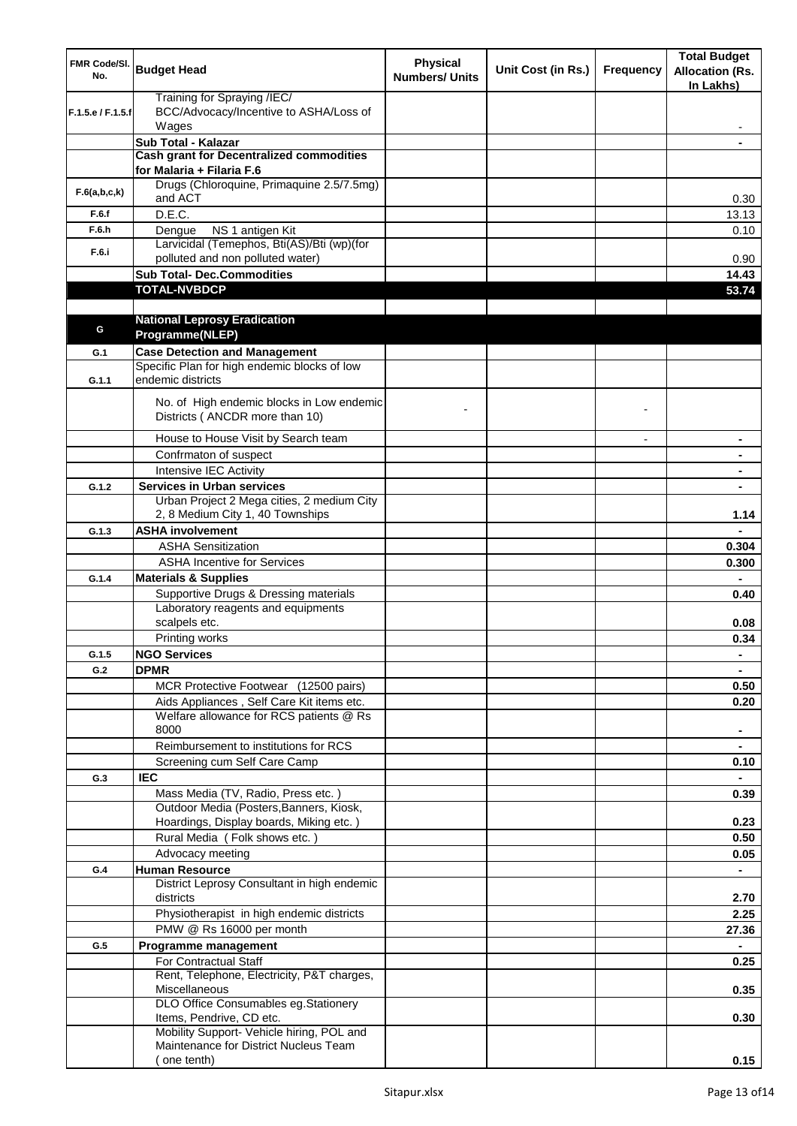| FMR Code/SI.<br>No. | <b>Budget Head</b>                                                             | <b>Physical</b><br><b>Numbers/ Units</b> | Unit Cost (in Rs.) | <b>Frequency</b> | <b>Total Budget</b><br><b>Allocation (Rs.</b><br>In Lakhs) |
|---------------------|--------------------------------------------------------------------------------|------------------------------------------|--------------------|------------------|------------------------------------------------------------|
| F.1.5.e / F.1.5.f   | Training for Spraying /IEC/<br>BCC/Advocacy/Incentive to ASHA/Loss of<br>Wages |                                          |                    |                  |                                                            |
|                     | Sub Total - Kalazar                                                            |                                          |                    |                  |                                                            |
|                     | <b>Cash grant for Decentralized commodities</b>                                |                                          |                    |                  |                                                            |
|                     | for Malaria + Filaria F.6                                                      |                                          |                    |                  |                                                            |
| F.6(a,b,c,k)        | Drugs (Chloroquine, Primaquine 2.5/7.5mg)<br>and ACT                           |                                          |                    |                  | 0.30                                                       |
| F.6.f               | D.E.C.                                                                         |                                          |                    |                  | 13.13                                                      |
| F.6.h               | NS 1 antigen Kit<br>Dengue                                                     |                                          |                    |                  | 0.10                                                       |
| F.6.i               | Larvicidal (Temephos, Bti(AS)/Bti (wp)(for<br>polluted and non polluted water) |                                          |                    |                  | 0.90                                                       |
|                     | <b>Sub Total- Dec.Commodities</b>                                              |                                          |                    |                  | 14.43                                                      |
|                     | <b>TOTAL-NVBDCP</b>                                                            |                                          |                    |                  | 53.74                                                      |
|                     |                                                                                |                                          |                    |                  |                                                            |
|                     | <b>National Leprosy Eradication</b>                                            |                                          |                    |                  |                                                            |
| G                   | Programme(NLEP)                                                                |                                          |                    |                  |                                                            |
| G.1                 | <b>Case Detection and Management</b>                                           |                                          |                    |                  |                                                            |
| G.1.1               | Specific Plan for high endemic blocks of low<br>endemic districts              |                                          |                    |                  |                                                            |
|                     | No. of High endemic blocks in Low endemic<br>Districts (ANCDR more than 10)    |                                          |                    |                  |                                                            |
|                     | House to House Visit by Search team                                            |                                          |                    |                  |                                                            |
|                     | Confrmaton of suspect                                                          |                                          |                    |                  |                                                            |
|                     | Intensive IEC Activity                                                         |                                          |                    |                  |                                                            |
| G.1.2               | <b>Services in Urban services</b>                                              |                                          |                    |                  |                                                            |
|                     | Urban Project 2 Mega cities, 2 medium City<br>2, 8 Medium City 1, 40 Townships |                                          |                    |                  | 1.14                                                       |
| G.1.3               | <b>ASHA involvement</b>                                                        |                                          |                    |                  |                                                            |
|                     | <b>ASHA Sensitization</b>                                                      |                                          |                    |                  | 0.304                                                      |
|                     | <b>ASHA Incentive for Services</b>                                             |                                          |                    |                  | 0.300                                                      |
| G.1.4               | <b>Materials &amp; Supplies</b>                                                |                                          |                    |                  |                                                            |
|                     | Supportive Drugs & Dressing materials                                          |                                          |                    |                  | 0.40                                                       |
|                     | Laboratory reagents and equipments                                             |                                          |                    |                  |                                                            |
|                     | scalpels etc.                                                                  |                                          |                    |                  | 0.08                                                       |
|                     | Printing works                                                                 |                                          |                    |                  | 0.34                                                       |
| G.1.5               | <b>NGO Services</b>                                                            |                                          |                    |                  | $\blacksquare$                                             |
| G.2                 | <b>DPMR</b>                                                                    |                                          |                    |                  |                                                            |
|                     | MCR Protective Footwear (12500 pairs)                                          |                                          |                    |                  | 0.50                                                       |
|                     | Aids Appliances, Self Care Kit items etc.                                      |                                          |                    |                  | 0.20                                                       |
|                     | Welfare allowance for RCS patients @ Rs<br>8000                                |                                          |                    |                  |                                                            |
|                     | Reimbursement to institutions for RCS                                          |                                          |                    |                  |                                                            |
|                     | Screening cum Self Care Camp                                                   |                                          |                    |                  | 0.10                                                       |
| G.3                 | <b>IEC</b>                                                                     |                                          |                    |                  |                                                            |
|                     | Mass Media (TV, Radio, Press etc.)                                             |                                          |                    |                  | 0.39                                                       |
|                     | Outdoor Media (Posters, Banners, Kiosk,                                        |                                          |                    |                  |                                                            |
|                     | Hoardings, Display boards, Miking etc.)                                        |                                          |                    |                  | 0.23                                                       |
|                     | Rural Media (Folk shows etc.)                                                  |                                          |                    |                  | 0.50                                                       |
|                     | Advocacy meeting                                                               |                                          |                    |                  | 0.05                                                       |
| G.4                 | <b>Human Resource</b>                                                          |                                          |                    |                  | $\blacksquare$                                             |
|                     | District Leprosy Consultant in high endemic<br>districts                       |                                          |                    |                  | 2.70                                                       |
|                     | Physiotherapist in high endemic districts                                      |                                          |                    |                  | 2.25                                                       |
|                     | PMW @ Rs 16000 per month                                                       |                                          |                    |                  | 27.36                                                      |
| G.5                 | Programme management                                                           |                                          |                    |                  |                                                            |
|                     | For Contractual Staff                                                          |                                          |                    |                  | 0.25                                                       |
|                     | Rent, Telephone, Electricity, P&T charges,<br>Miscellaneous                    |                                          |                    |                  | 0.35                                                       |
|                     | DLO Office Consumables eg.Stationery                                           |                                          |                    |                  |                                                            |
|                     | Items, Pendrive, CD etc.<br>Mobility Support- Vehicle hiring, POL and          |                                          |                    |                  | 0.30                                                       |
|                     | Maintenance for District Nucleus Team                                          |                                          |                    |                  |                                                            |
|                     | one tenth)                                                                     |                                          |                    |                  | 0.15                                                       |